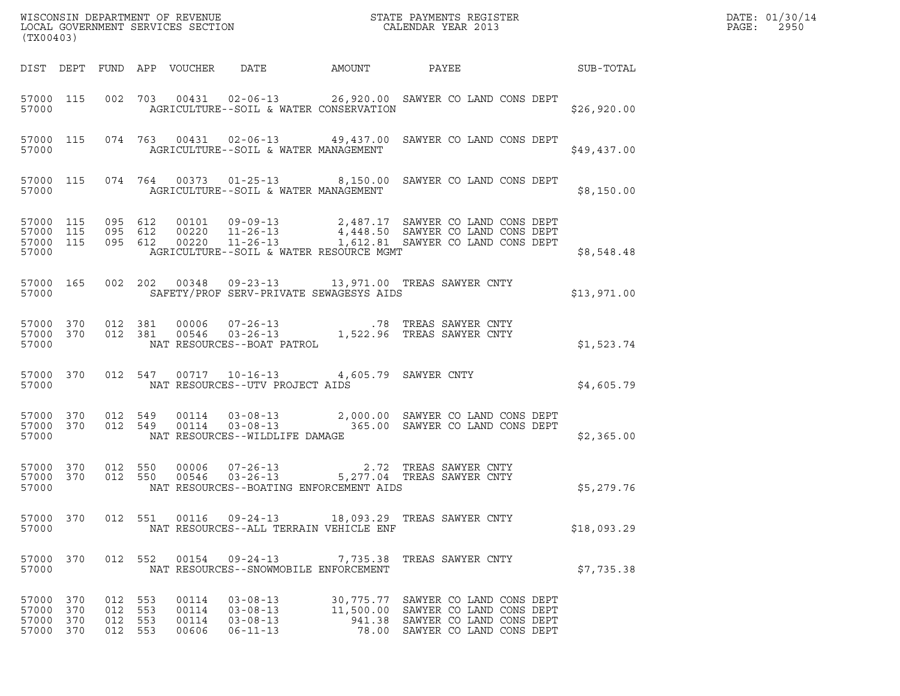| WISCONSIN DEPARTMENT OF REVENUE<br>LOCAL GOVERNMENT SERVICES SECTION<br>(TWAR 1991)<br>(TX00403) |                        |                                      |         |                                  |                                                                                |        |                                                                                                                                                                                  |             | DATE: 01/30/14<br>PAGE:<br>2950 |
|--------------------------------------------------------------------------------------------------|------------------------|--------------------------------------|---------|----------------------------------|--------------------------------------------------------------------------------|--------|----------------------------------------------------------------------------------------------------------------------------------------------------------------------------------|-------------|---------------------------------|
|                                                                                                  |                        |                                      |         | DIST DEPT FUND APP VOUCHER DATE  |                                                                                | AMOUNT | PAYEE<br>SUB-TOTAL                                                                                                                                                               |             |                                 |
| 57000                                                                                            |                        |                                      |         |                                  | AGRICULTURE--SOIL & WATER CONSERVATION                                         |        | 57000 115 002 703 00431 02-06-13 26,920.00 SAWYER CO LAND CONS DEPT                                                                                                              | \$26,920.00 |                                 |
| 57000                                                                                            |                        |                                      |         |                                  | AGRICULTURE--SOIL & WATER MANAGEMENT                                           |        | 57000 115 074 763 00431 02-06-13 49,437.00 SAWYER CO LAND CONS DEPT                                                                                                              | \$49,437.00 |                                 |
| 57000                                                                                            |                        |                                      |         |                                  | AGRICULTURE--SOIL & WATER MANAGEMENT                                           |        | 57000 115 074 764 00373 01-25-13 8,150.00 SAWYER CO LAND CONS DEPT                                                                                                               | \$8,150.00  |                                 |
| 57000 115<br>57000                                                                               | 57000 115<br>57000 115 |                                      |         |                                  | AGRICULTURE--SOIL & WATER RESOURCE MGMT                                        |        | 095 612 00101 09-09-13 2,487.17 SAWYER CO LAND CONS DEPT<br>095 612 00220 11-26-13 4,448.50 SAWYER CO LAND CONS DEPT<br>095 612 00220 11-26-13 1,612.81 SAWYER CO LAND CONS DEPT | \$8,548.48  |                                 |
| 57000                                                                                            |                        |                                      |         | 57000 165 002 202 00348          | SAFETY/PROF SERV-PRIVATE SEWAGESYS AIDS                                        |        | 09-23-13 13,971.00 TREAS SAWYER CNTY                                                                                                                                             | \$13,971.00 |                                 |
| 57000 370<br>57000                                                                               | 57000 370              | 012 381<br>012 381                   |         |                                  | NAT RESOURCES--BOAT PATROL                                                     |        | 00006  07-26-13   00006   07-26-13   00546   03-26-13   00546   03-26-13   00546   0.522.96   TREAS SAWYER CNTY                                                                  | \$1,523.74  |                                 |
| 57000                                                                                            | 57000 370              |                                      |         |                                  | 012 547 00717 10-16-13 4,605.79 SAWYER CNTY<br>NAT RESOURCES--UTV PROJECT AIDS |        |                                                                                                                                                                                  | \$4,605.79  |                                 |
| 57000 370<br>57000 370<br>57000                                                                  |                        |                                      |         |                                  | NAT RESOURCES--WILDLIFE DAMAGE                                                 |        | 012 549 00114 03-08-13 2,000.00 SAWYER CO LAND CONS DEPT 012 549 00114 03-08-13 365.00 SAWYER CO LAND CONS DEPT                                                                  | \$2,365.00  |                                 |
| 57000 370<br>57000                                                                               | 57000 370              | 012 550                              | 012 550 |                                  | NAT RESOURCES--BOATING ENFORCEMENT AIDS                                        |        | 00006  07-26-13  2.72  TREAS SAWYER CNTY<br>00546  03-26-13  5,277.04  TREAS SAWYER CNTY                                                                                         | \$5,279.76  |                                 |
| 57000 370<br>57000                                                                               |                        |                                      | 012 551 |                                  | NAT RESOURCES--ALL TERRAIN VEHICLE ENF                                         |        | 00116  09-24-13  18,093.29  TREAS SAWYER CNTY                                                                                                                                    | \$18,093.29 |                                 |
| 57000 370<br>57000                                                                               |                        |                                      | 012 552 | 00154                            | $09 - 24 - 13$<br>NAT RESOURCES--SNOWMOBILE ENFORCEMENT                        |        | 7,735.38 TREAS SAWYER CNTY                                                                                                                                                       | \$7,735.38  |                                 |
| 57000 370<br>57000<br>57000<br>57000 370                                                         | 370<br>370             | 012 553<br>012 553<br>012<br>012 553 | 553     | 00114<br>00114<br>00114<br>00606 | $03 - 08 - 13$<br>$03 - 08 - 13$<br>$03 - 08 - 13$<br>$06 - 11 - 13$           |        | 30,775.77 SAWYER CO LAND CONS DEPT<br>11,500.00 SAWYER CO LAND CONS DEPT<br>941.38 SAWYER CO LAND CONS DEPT<br>78.00 SAWYER CO LAND CONS DEPT                                    |             |                                 |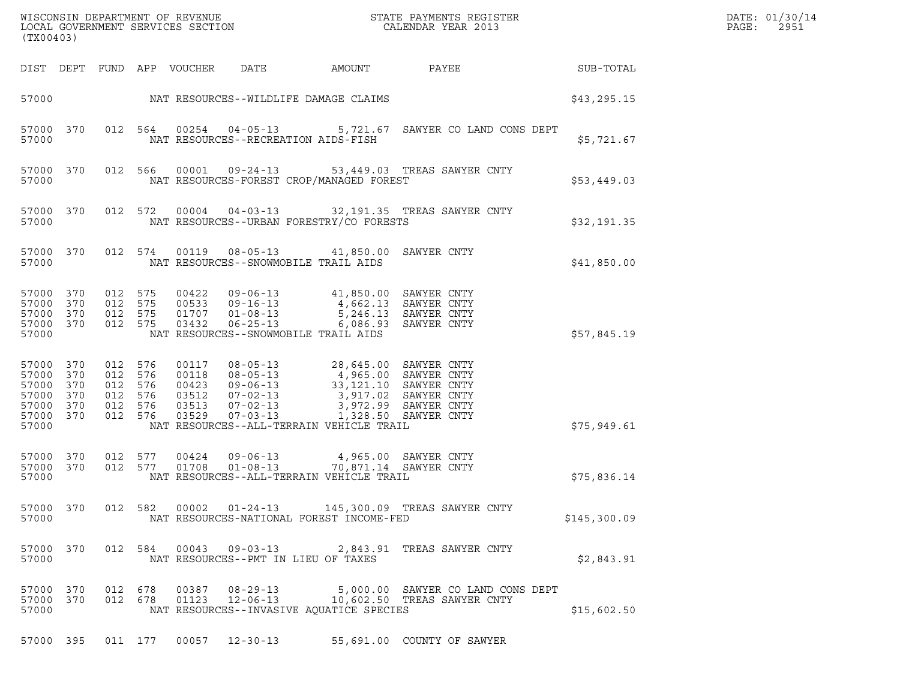|       | DATE: 01/30/14 |
|-------|----------------|
| PAGE: | 2951           |

| LOCAL GOVERNMENT SERVICES SECTION<br>(TX00403)                      |                          |            |                                                        |                                                    |                                                                                                               |                                                                                           |                                                                                                |              | DATE: 01/30/14<br>PAGE:<br>2951 |
|---------------------------------------------------------------------|--------------------------|------------|--------------------------------------------------------|----------------------------------------------------|---------------------------------------------------------------------------------------------------------------|-------------------------------------------------------------------------------------------|------------------------------------------------------------------------------------------------|--------------|---------------------------------|
|                                                                     |                          |            |                                                        | DIST DEPT FUND APP VOUCHER                         | DATE                                                                                                          | AMOUNT                                                                                    | PAYEE                                                                                          | SUB-TOTAL    |                                 |
| 57000                                                               |                          |            |                                                        |                                                    | NAT RESOURCES--WILDLIFE DAMAGE CLAIMS                                                                         |                                                                                           |                                                                                                | \$43,295.15  |                                 |
| 57000                                                               | 57000 370                |            | 012 564                                                |                                                    | $00254$ $04-05-13$<br>NAT RESOURCES--RECREATION AIDS-FISH                                                     |                                                                                           | 5,721.67 SAWYER CO LAND CONS DEPT                                                              | \$5,721.67   |                                 |
| 57000                                                               | 57000 370                |            | 012 566                                                |                                                    |                                                                                                               | NAT RESOURCES-FOREST CROP/MANAGED FOREST                                                  | 00001  09-24-13  53,449.03  TREAS SAWYER CNTY                                                  | \$53,449.03  |                                 |
| 57000                                                               | 57000 370                |            | 012 572                                                | 00004                                              |                                                                                                               | NAT RESOURCES--URBAN FORESTRY/CO FORESTS                                                  | 04-03-13 32,191.35 TREAS SAWYER CNTY                                                           | \$32,191.35  |                                 |
| 57000                                                               | 57000 370                |            | 012 574                                                | 00119                                              | $08 - 05 - 13$<br>NAT RESOURCES--SNOWMOBILE TRAIL AIDS                                                        | 41,850.00 SAWYER CNTY                                                                     |                                                                                                | \$41,850.00  |                                 |
| 57000<br>57000 370<br>57000 370<br>57000 370<br>57000               | 370                      | 012 575    | 012 575<br>012 575<br>012 575                          | 00422<br>03432                                     | $09 - 06 - 13$<br>00533  09-16-13<br>01707 01-08-13<br>$06 - 25 - 13$<br>NAT RESOURCES--SNOWMOBILE TRAIL AIDS | 41,850.00 SAWYER CNTY<br>4,662.13 SAWYER CNTY                                             | 5,246.13 SAWYER CNTY<br>6,086.93 SAWYER CNTY                                                   | \$57,845.19  |                                 |
| 57000 370<br>57000<br>57000<br>57000<br>57000<br>57000 370<br>57000 | 370<br>370<br>370<br>370 | 012<br>012 | 012 576<br>576<br>012 576<br>576<br>012 576<br>012 576 | 00117<br>00118<br>00423<br>03512<br>03513<br>03529 | $08 - 05 - 13$<br>$08 - 05 - 13$<br>$09 - 06 - 13$<br>07-02-13<br>$07 - 02 - 13$<br>$07 - 03 - 13$            | 4,965.00 SAWYER CNTY<br>3,917.02 SAWYER CNTY<br>NAT RESOURCES--ALL-TERRAIN VEHICLE TRAIL  | 28,645.00 SAWYER CNTY<br>33,121.10 SAWYER CNTY<br>3,972.99 SAWYER CNTY<br>1,328.50 SAWYER CNTY | \$75,949.61  |                                 |
| 57000 370<br>57000 370<br>57000                                     |                          |            | 012 577<br>012 577                                     | 00424<br>01708                                     | $09 - 06 - 13$<br>$01 - 08 - 13$                                                                              | 4,965.00 SAWYER CNTY<br>70,871.14 SAWYER CNTY<br>NAT RESOURCES--ALL-TERRAIN VEHICLE TRAIL |                                                                                                | \$75,836.14  |                                 |
| 57000 370<br>57000                                                  |                          |            |                                                        | 012 582 00002                                      | $01 - 24 - 13$                                                                                                | NAT RESOURCES-NATIONAL FOREST INCOME-FED                                                  | 145,300.09 TREAS SAWYER CNTY                                                                   | \$145,300.09 |                                 |
| 57000 370<br>57000                                                  |                          |            |                                                        | 012 584 00043                                      | $09 - 03 - 13$<br>NAT RESOURCES--PMT IN LIEU OF TAXES                                                         |                                                                                           | 2,843.91 TREAS SAWYER CNTY                                                                     | \$2,843.91   |                                 |
| 57000 370<br>57000 370<br>57000                                     |                          |            | 012 678<br>012 678                                     | 00387<br>01123                                     | 08-29-13<br>$12 - 06 - 13$                                                                                    | NAT RESOURCES--INVASIVE AQUATICE SPECIES                                                  | 5,000.00 SAWYER CO LAND CONS DEPT<br>10,602.50 TREAS SAWYER CNTY                               | \$15,602.50  |                                 |
| 57000 395                                                           |                          |            | 011 177                                                |                                                    | 00057 12-30-13                                                                                                |                                                                                           | 55,691.00 COUNTY OF SAWYER                                                                     |              |                                 |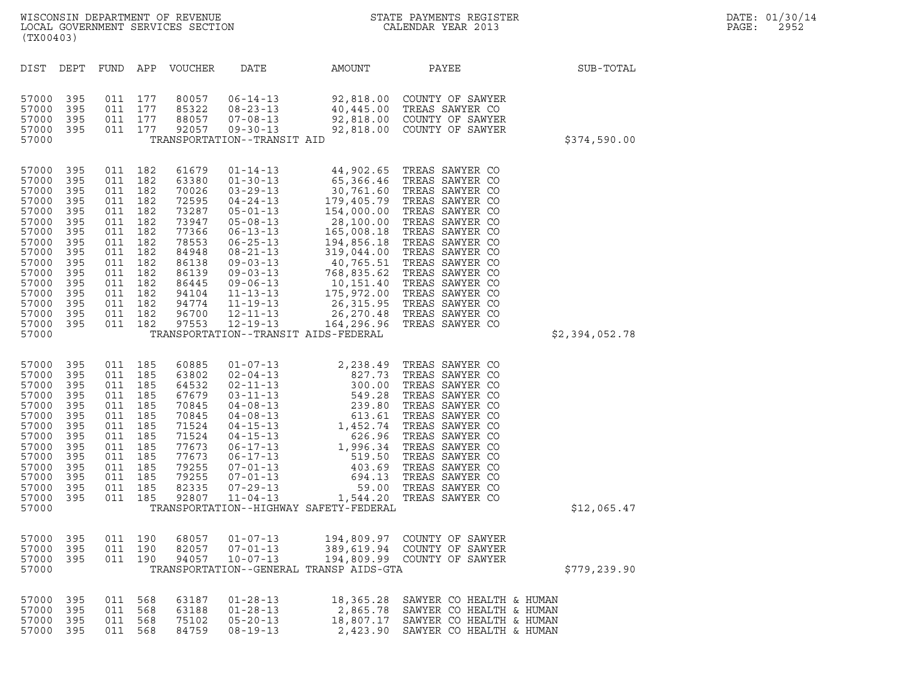| (TX00403)                                                                                                                                             |                                                                                                              |                                                                                                                                                               |                               | WISCONSIN DEPARTMENT OF REVENUE<br>LOCAL GOVERNMENT SERVICES SECTION                                                                         | ON                                                                                                                                                                                                                                                                                           |                                                                                                                                                                                                                                                                                                                                                                                                            | STATE PAYMENTS REGISTER<br>CALENDAR YEAR 2013                                                                                                                                                                                                                                                                |                | DATE: 01/30/14<br>2952<br>PAGE: |
|-------------------------------------------------------------------------------------------------------------------------------------------------------|--------------------------------------------------------------------------------------------------------------|---------------------------------------------------------------------------------------------------------------------------------------------------------------|-------------------------------|----------------------------------------------------------------------------------------------------------------------------------------------|----------------------------------------------------------------------------------------------------------------------------------------------------------------------------------------------------------------------------------------------------------------------------------------------|------------------------------------------------------------------------------------------------------------------------------------------------------------------------------------------------------------------------------------------------------------------------------------------------------------------------------------------------------------------------------------------------------------|--------------------------------------------------------------------------------------------------------------------------------------------------------------------------------------------------------------------------------------------------------------------------------------------------------------|----------------|---------------------------------|
| DIST                                                                                                                                                  | DEPT                                                                                                         | FUND                                                                                                                                                          | APP                           | VOUCHER                                                                                                                                      | DATE                                                                                                                                                                                                                                                                                         | AMOUNT                                                                                                                                                                                                                                                                                                                                                                                                     | PAYEE                                                                                                                                                                                                                                                                                                        | SUB-TOTAL      |                                 |
| 57000<br>57000<br>57000<br>57000<br>57000                                                                                                             | 395<br>395<br>395<br>395                                                                                     | 011 177<br>011 177<br>011 177                                                                                                                                 | 011 177                       | 80057<br>85322<br>88057<br>92057                                                                                                             | $06 - 14 - 13$<br>$08 - 23 - 13$<br>$07 - 08 - 13$<br>$09 - 30 - 13$<br>TRANSPORTATION--TRANSIT AID                                                                                                                                                                                          | 92,818.00<br>40,445.00                                                                                                                                                                                                                                                                                                                                                                                     | COUNTY OF SAWYER<br>TREAS SAWYER CO<br>92,818.00 COUNTY OF SAWYER<br>92,818.00 COUNTY OF SAWYER                                                                                                                                                                                                              | \$374,590.00   |                                 |
| 57000<br>57000<br>57000<br>57000<br>57000<br>57000<br>57000<br>57000<br>57000<br>57000<br>57000<br>57000<br>57000<br>57000<br>57000<br>57000<br>57000 | 395<br>395<br>395<br>395<br>395<br>395<br>395<br>395<br>395<br>395<br>395<br>395<br>395<br>395<br>395<br>395 | 011 182<br>011 182<br>011 182<br>011 182<br>011 182<br>011 182<br>011 182<br>011 182<br>011 182<br>011 182<br>011<br>011 182<br>011 182<br>011 182<br>011 182 | 182<br>011 182                | 61679<br>63380<br>70026<br>72595<br>73287<br>73947<br>77366<br>78553<br>84948<br>86138<br>86139<br>86445<br>94104<br>94774<br>96700<br>97553 | $01 - 14 - 13$<br>$01 - 30 - 13$<br>$03 - 29 - 13$<br>$04 - 24 - 13$<br>$05 - 01 - 13$<br>$05 - 08 - 13$<br>$06 - 13 - 13$<br>$06 - 25 - 13$<br>$08 - 21 - 13$<br>$09 - 03 - 13$<br>$09 - 03 - 13$<br>$09 - 06 - 13$<br>$11 - 13 - 13$<br>$11 - 19 - 13$<br>$12 - 11 - 13$<br>$12 - 19 - 13$ | 44,902.65<br>65,366.46<br>$\frac{30,761.60}{179,405.79} \ \frac{154,000.00}{28,100.00}$<br>$28,100.00$<br>$165,008.18$<br>$319,044.00$<br>$40,765.51$<br>$768,835.62$<br>$10,151.40$<br>$175,972.00$<br>$26,315.95$<br>26,270.48<br>164,296.96<br>TRANSPORTATION--TRANSIT AIDS-FEDERAL                                                                                                                     | TREAS SAWYER CO<br>TREAS SAWYER CO<br>TREAS SAWYER CO<br>TREAS SAWYER CO<br>TREAS SAWYER CO<br>TREAS SAWYER CO<br>TREAS SAWYER CO<br>TREAS SAWYER CO<br>TREAS SAWYER CO<br>TREAS SAWYER CO<br>TREAS SAWYER CO<br>TREAS SAWYER CO<br>TREAS SAWYER CO<br>TREAS SAWYER CO<br>TREAS SAWYER CO<br>TREAS SAWYER CO | \$2,394,052.78 |                                 |
| 57000<br>57000<br>57000<br>57000<br>57000<br>57000<br>57000<br>57000<br>57000<br>57000<br>57000<br>57000<br>57000<br>57000<br>57000                   | 395<br>395<br>395<br>395<br>395<br>395<br>395<br>395<br>395<br>395<br>395<br>395<br>395<br>- 395             | 011 185<br>011 185<br>011 185<br>011 185<br>011 185<br>011 185<br>011 185<br>011 185<br>011 185<br>011 185<br>011 185<br>011 185<br>011 185                   | 011 185                       | 60885<br>63802<br>64532<br>67679<br>70845<br>70845<br>71524<br>71524<br>77673<br>77673<br>79255<br>79255<br>82335                            |                                                                                                                                                                                                                                                                                              | $\begin{array}{cccc} & 07\text{--}13 & \\ \text{--}04\text{--}13 & 300\ldots \\ & 2\text{--}11\text{--}13 & 549\ldots \\ & 03\text{--}11\text{--}13 & 549\ldots \\ & 04\text{--}08\text{--}13 & 613\ldots \\ & 04\text{--}08\text{--}13 & 613\ldots \\ & 4 & 04\text{--}15\text{--}13 & 1\text{--}452\ldots \\ & 673 & 06\text{--}17\text{--}13 & 1\text{--}996$<br>TRANSPORTATION--HIGHWAY SAFETY-FEDERAL | TREAS SAWYER CO<br>TREAS SAWYER CO<br>TREAS SAWYER CO<br>TREAS SAWYER CO<br>TREAS SAWYER CO<br>TREAS SAWYER CO<br>TREAS SAWYER CO<br>TREAS SAWYER CO<br>TREAS SAWYER CO<br>TREAS SAWYER CO<br>TREAS SAWYER CO<br>TREAS SAWYER CO<br>TREAS SAWYER CO<br>92807 11-04-13 1,544.20 TREAS SAWYER CO               | \$12,065.47    |                                 |
| 57000<br>57000<br>57000<br>57000                                                                                                                      | - 395<br>395<br>-395                                                                                         |                                                                                                                                                               | 011 190<br>011 190<br>011 190 | 68057<br>82057<br>94057                                                                                                                      | $01 - 07 - 13$<br>$07 - 01 - 13$<br>$10 - 07 - 13$                                                                                                                                                                                                                                           | TRANSPORTATION--GENERAL TRANSP AIDS-GTA                                                                                                                                                                                                                                                                                                                                                                    | 194,809.97 COUNTY OF SAWYER<br>389,619.94 COUNTY OF SAWYER<br>194,809.99 COUNTY OF SAWYER                                                                                                                                                                                                                    | \$779,239.90   |                                 |
| 57000<br>57000<br>57000<br>57000                                                                                                                      | - 395<br>395<br>395<br>- 395                                                                                 | 011 568<br>011 568<br>011 568                                                                                                                                 | 011 568                       | 63187<br>63188<br>75102<br>84759                                                                                                             | $01 - 28 - 13$<br>$01 - 28 - 13$<br>$05 - 20 - 13$<br>$08 - 19 - 13$                                                                                                                                                                                                                         |                                                                                                                                                                                                                                                                                                                                                                                                            | 18,365.28 SAWYER CO HEALTH & HUMAN<br>2,865.78 SAWYER CO HEALTH & HUMAN<br>18,807.17 SAWYER CO HEALTH & HUMAN<br>2,423.90 SAWYER CO HEALTH & HUMAN                                                                                                                                                           |                |                                 |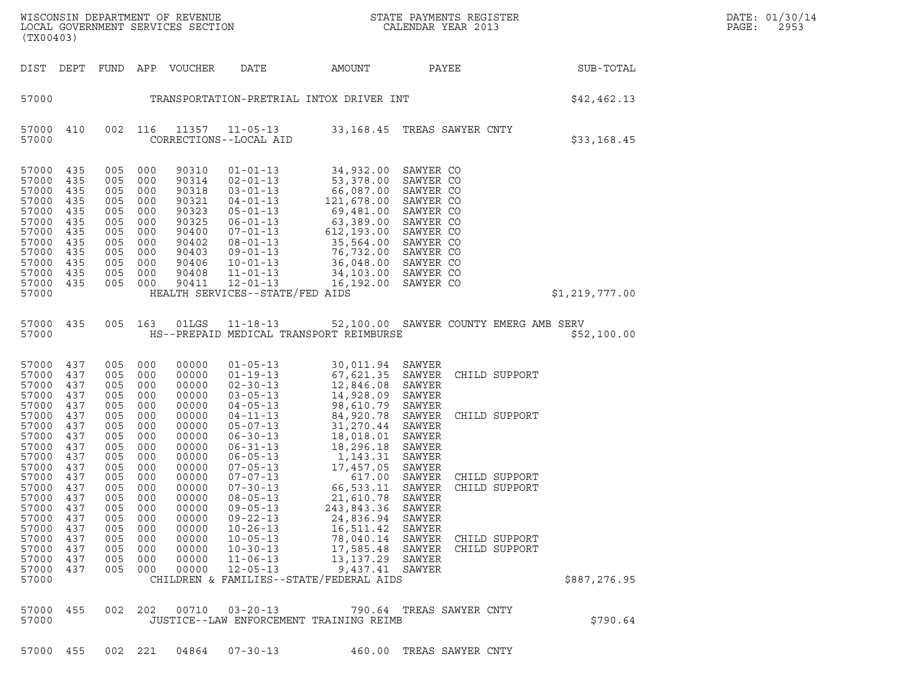| DATE: | 01/30/14 |
|-------|----------|
| PAGE: | 2953     |

WISCONSIN DEPARTMENT OF REVENUE<br>LOCAL GOVERNMENT SERVICES SECTION STATE PAYMENTS REGISTER SECONDER STATE PASS: 2953<br>DAGE: 2953 WISCONSIN DEPARTMENT OF REVENUE<br>LOCAL GOVERNMENT SERVICES SECTION PARA PROPERTY CALENDAR YEAR 2013<br>(TX00403) (TX00403) DIST DEPT FUND APP VOUCHER DATE AMOUNT PAYEE SUB-TOTAL 57000 TRANSPORTATION-PRETRIAL INTOX DRIVER INT STOOO \$42,462.13 57000 410 002 116 11357 11-05-13 33,168.45 TREAS SAWYER CNTY <sup>57000</sup> CORRECTIONS--LOCAL AID \$33,168.45 57000 435 005 000 90310 01-01-13 34,932.00 SAWYER CO 57000 435 005 000 90310 01-01-13 34,932.00 SAWYER CO<br>57000 435 005 000 90314 02-01-13 53,378.00 SAWYER CO<br>57000 435 005 000 90318 03-01-13 66,087.00 SAWYER CO 57000 435 005 000 90310 01-01-13 34,932.00 SAWYER CO<br>57000 435 005 000 90314 02-01-13 53,378.00 SAWYER CO<br>57000 435 005 000 90318 03-01-13 66,087.00 SAWYER CO<br>57000 435 005 000 90321 04-01-13 121.678.00 SAWYER CO 57000 435 005 000 90310 01-01-13 34,932.00 SAWYER CO<br>57000 435 005 000 90314 02-01-13 53,378.00 SAWYER CO<br>57000 435 005 000 90318 03-01-13 66,087.00 SAWYER CO<br>57000 435 005 000 90321 04-01-13 121,678.00 SAWYER CO<br>57000 435 57000 435 005 000 90314 02-01-13 53,378.00 SAWYER CO<br>57000 435 005 000 90318 03-01-13 66,087.00 SAWYER CO<br>57000 435 005 000 90321 04-01-13 121,678.00 SAWYER CO<br>57000 435 005 000 90323 05-01-13 69,481.00 SAWYER CO<br>57000 435 57000 435 005 000 90318 03-01-13 66,087.00 SAWYER CO<br>57000 435 005 000 90321 04-01-13 121,678.00 SAWYER CO<br>57000 435 005 000 90323 05-01-13 63,389.00 SAWYER CO<br>57000 435 005 000 90400 07-01-13 63,389.00 SAWYER CO 57000 435 005 000 90321 04-01-13 121,678.00 SAWYER CO<br>57000 435 005 000 90323 05-01-13 69,481.00 SAWYER CO<br>57000 435 005 000 90325 06-01-13 612,389.00 SAWYER CO<br>57000 435 005 000 90400 07-01-13 612,193.00 SAWYER CO<br>57000 4 57000 435 005 000 90323 05-01-13 69,481.00 SAWYERCO<br>57000 435 005 000 90325 06-01-13 63,389.00 SAWYERCO<br>57000 435 005 000 90402 07-01-13 612,193.00 SAWYERCO<br>57000 435 005 000 90402 08-01-13 35,564.00 SAWYERCO 57000 435 005 000 90325 06-01-13 63,389.00 SAWYER CO<br>57000 435 005 000 90400 07-01-13 612,193.00 SAWYER CO<br>57000 435 005 000 90403 08-01-13 35,564.00 SAWYER CO<br>57000 435 005 000 90403 09-01-13 76,732.00 SAWYER CO<br>57000 435 57000 435 005 000 90400 07-01-13 612,193.00 SAWYER CO<br>57000 435 005 000 90402 08-01-13 35,564.00 SAWYER CO<br>57000 435 005 000 90406 10-01-13 36,048.00 SAWYER CO<br>57000 435 005 000 90406 10-01-13 36,048.00 SAWYER CO 57000 435 005 000 90402 08-01-13 35,564.00 SAWYER CO<br>57000 435 005 000 90403 09-01-13 76,732.00 SAWYER CO<br>57000 435 005 000 90406 10-01-13 34,103.00 SAWYER CO<br>57000 435 005 000 90408 11-01-13 34,103.00 SAWYER CO<br>57000 435 57000 435 005 000 90403 09-01-13 76,732.00 SAWYER CO<br>57000 435 005 000 90406 10-01-13 36,048.00 SAWYER CO<br>57000 435 005 000 90408 11-01-13 34,103.00 SAWYER CO<br>57000 435 005 000 90411 12-01-13 16,192.00 SAWYER CO<br>57000 HEAL <sup>57000</sup> HEALTH SERVICES--STATE/FED AIDS \$1,219,777.00 57000 435 005 163 01LGS 11-18-13 52,100.00 SAWYER COUNTY EMERG AMB SERV 57000 435 005 163 01LGS 11-18-13 52,100.00 SAWYER COUNTY EMERG AMB SERV<br>57000 HS--PREPAID MEDICAL TRANSPORT REIMBURSE \$52,100.00 57000 437 005 000 00000 01-05-13 30,011.94 SAWYER 57000 437 005 000 00000 01-19-13 67,621.35 SAWYER CHILD SUPPORT 57000 437 005 000 00000 01-05-13 30,011.94 SAWYER<br>57000 437 005 000 00000 01-19-13 67,621.35 SAWYER CH<br>57000 437 005 000 00000 02-30-13 12,846.08 SAWYER 57000 437 005 000 00000 01-05-13 30,011.94 SAWYER<br>57000 437 005 000 00000 01-19-13 67,621.35 SAWYER CI<br>57000 437 005 000 00000 02-30-13 12,846.08 SAWYER<br>57000 437 005 000 00000 03-05-13 14,928.09 SAWYER<br>57000 437 005 000 0 57000 437 005 000 00000 01-19-13 67,621.35 SAWYER CI<br>57000 437 005 000 00000 02-30-13 12,846.08 SAWYER<br>57000 437 005 000 00000 03-05-13 14,928.09 SAWYER<br>57000 437 005 000 00000 04-05-13 98,610.79 SAWYER<br>57000 437 005 000 0 57000 437 005 000 00000 02-30-13 12,846.08 SAWYER<br>57000 437 005 000 00000 03-05-13 14,928.09 SAWYER<br>57000 437 005 000 00000 04-05-13 98,610.79 SAWYER<br>57000 437 005 000 00000 04-01-13 84,920.78 SAWYER CHILD SUPPORT<br>57000 43 57000 437 005 000 00000 03-05-13 14,928.09 SAWYER<br>57000 437 005 000 00000 04-05-13 98,610.79 SAWYER<br>57000 437 005 000 00000 04-11-13 84,920.78 SAWYER CI<br>57000 437 005 000 00000 05-07-13 31,270.44 SAWYER 57000 437 005 000 00000 04-05-13 98,610.79 SAWYER<br>57000 437 005 000 00000 04-11-13 84,920.78 SAWYER CI<br>57000 437 005 000 00000 05-07-13 31,270.44 SAWYER<br>57000 437 005 000 00000 06-30-13 18,018.01 SAWYER<br>57000 437 005 000 0 57000 437 005 000 00000 04-11-13 84,920.78 SAWYER CI<br>57000 437 005 000 00000 05-07-13 31,270.44 SAWYER<br>57000 437 005 000 00000 06-30-13 18,018.01 SAWYER<br>57000 437 005 000 00000 06-31-13 18,296.18 SAWYER<br>57000 437 005 000 0 57000 437 005 000 00000 05-07-13 31,270.44 SAWYER<br>57000 437 005 000 00000 06-30-13 18,018.01 SAWYER<br>57000 437 005 000 00000 06-31-13 18,296.18 SAWYER<br>57000 437 005 000 00000 06-05-13 1,143.31 SAWYER<br>57000 437 005 000 00000 57000 437 005 000 00000 06-30-13 18,018.01 SAWYER<br>57000 437 005 000 00000 06-31-13 18,296.18 SAWYER<br>57000 437 005 000 00000 07-05-13 1,1437.05 SAWYER<br>57000 437 005 000 00000 07-05-13 17,457.05 SAWYER<br>57000 437 005 000 0000 57000 437 005 000 00000 06-31-13 18,296.18 SAWYER<br>57000 437 005 000 00000 06-05-13 1,143.31 SAWYER<br>57000 437 005 000 00000 07-05-13 17,457.05 SAWYER<br>57000 437 005 000 00000 07-07-13 66,533.11 SAWYER CHILD SUPPORT<br>57000 437 57000 437 005 000 00000 06-05-13 1,143.31 SAWYER<br>57000 437 005 000 00000 07-05-13 17,457.05 SAWYER<br>57000 437 005 000 000000 07-07-13 66,533.11 SAWYER CHILD SUPPORT<br>57000 437 005 000 00000 08-05-13 21,610.78 SAWYER CHILD SU 57000 437 005 000 00000 07-05-13 17,457.05 SAWYER<br>57000 437 005 000 00000 07-07-13 66,533.11 SAWYER CI<br>57000 437 005 000 00000 07-30-13 66,533.11 SAWYER CI<br>57000 437 005 000 00000 08-05-13 21,610.78 SAWYER 57000 437 005 000 00000 07-07-13 617.00 SAWYER CI<br>57000 437 005 000 00000 07-30-13 66,533.11 SAWYER CI<br>57000 437 005 000 00000 08-05-13 21,610.78 SAWYER<br>57000 437 005 000 00000 09-05-13 243,843.36 SAWYER 57000 437 005 000 00000 07-30-13 66,533.11 SAWYER CI<br>57000 437 005 000 00000 08-05-13 21,610.78 SAWYER<br>57000 437 005 000 00000 09-05-13 243,843.36 SAWYER<br>57000 437 005 000 00000 09-22-13 24,836.94 SAWYER<br>57000 437 005 000 57000 437 005 000 00000 08-05-13 21,610.78 SAWYER<br>57000 437 005 000 00000 09-05-13 243,843.36 SAWYER<br>57000 437 005 000 00000 09-22-13 24,836.94 SAWYER<br>57000 437 005 000 00000 10-26-13 16,511.42 SAWYER<br>57000 437 005 000 000 57000 437 005 000 00000 09-05-13 243,843.36 SAWYER<br>57000 437 005 000 00000 09-22-13 24,836.94 SAWYER<br>57000 437 005 000 00000 10-26-13 16,511.42 SAWYER<br>57000 437 005 000 00000 10-35-13 78,040.14 SAWYER CHILD SUPPORT<br>57000 4 57000 437 005 000 00000 09-22-13 24,836.94 SAWYER<br>57000 437 005 000 00000 10-26-13 16,511.42 SAWYER<br>57000 437 005 000 00000 10-30-13 78,040.14 SAWYER CHILD SUPPORT<br>57000 437 005 000 00000 10-30-13 17,585.48 SAWYER CHILD SU 57000 437 005 000 00000 10-26-13 16,511.42 SAWYER<br>57000 437 005 000 00000 10-05-13 78,040.14 SAWYER CI<br>57000 437 005 000 00000 10-30-13 17,585.48 SAWYER CI<br>57000 437 005 000 00000 11-06-13 13,137.29 SAWYER 57000 437 005 000 00000 10-05-13 78,040.14 SAWYER CI<br>57000 437 005 000 00000 10-30-13 17,585.48 SAWYER CI<br>57000 437 005 000 00000 11-06-13 13,137.29 SAWYER<br>57000 437 005 000 00000 12-05-13 9,437.41 SAWYER<br>57000 - CHILDREN <sup>57000</sup> CHILDREN & FAMILIES--STATE/FEDERAL AIDS \$887,276.95 57000 455 002 202 00710 03-20-13 790.64 TREAS SAWYER CNTY 57000 455 002 202 00710 03-20-13 790.64 TREAS SAWYER CNTY<br>57000 JUSTICE--LAW ENFORCEMENT TRAINING REIMB

57000 455 002 221 04864 07-30-13 460.00 TREAS SAWYER CNTY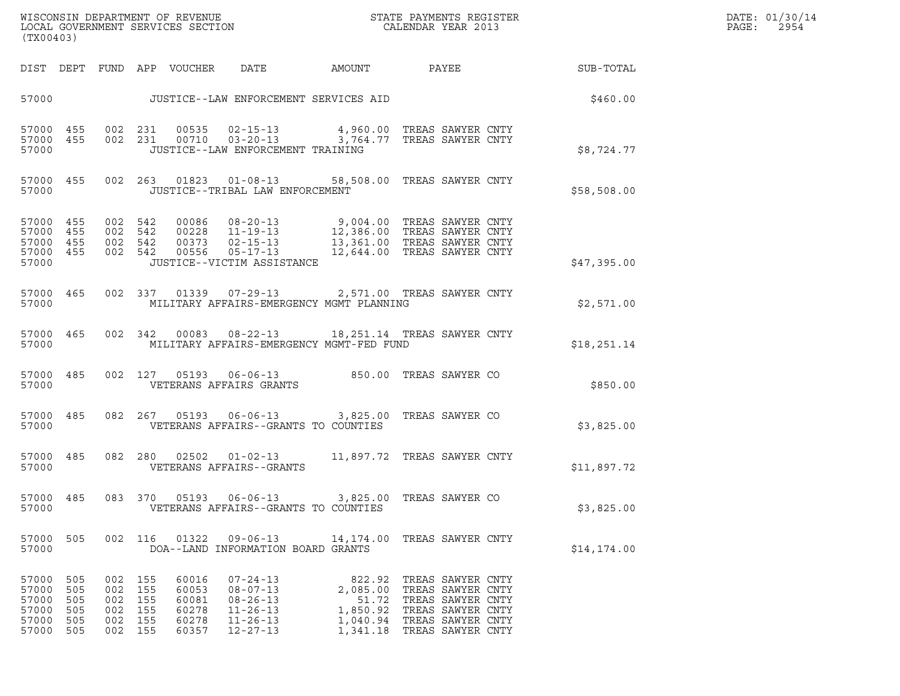|       | DATE: 01/30/14 |
|-------|----------------|
| PAGE: | 2954           |

| (TX00403)                                                                        |                                                     |                                                               |                                                                                                                                                                                                                                                   |       |                                                                                                                                                                       | DATE: 01/30/14<br>PAGE:<br>2954 |  |
|----------------------------------------------------------------------------------|-----------------------------------------------------|---------------------------------------------------------------|---------------------------------------------------------------------------------------------------------------------------------------------------------------------------------------------------------------------------------------------------|-------|-----------------------------------------------------------------------------------------------------------------------------------------------------------------------|---------------------------------|--|
|                                                                                  |                                                     | DIST DEPT FUND APP VOUCHER DATE                               |                                                                                                                                                                                                                                                   |       |                                                                                                                                                                       | AMOUNT PAYEE SUB-TOTAL          |  |
|                                                                                  |                                                     |                                                               | 57000 JUSTICE--LAW ENFORCEMENT SERVICES AID                                                                                                                                                                                                       |       |                                                                                                                                                                       | \$460.00                        |  |
| 57000                                                                            |                                                     |                                                               | $\begin{array}{cccccc} 57000& 455& 002& 231& 00535& 02-15-13& & 4\,960.00 & \text{TREAS SAWYER CNTY} \\ 57000& 455& 002& 231& 00710& 03-20-13& & 3\,764.77 & \text{TREAS SAWYER CNTY} \end{array}$<br>JUSTICE--LAW ENFORCEMENT TRAINING           |       |                                                                                                                                                                       | \$8,724.77                      |  |
| 57000                                                                            |                                                     |                                                               | 57000 455 002 263 01823 01-08-13 58,508.00 TREAS SAWYER CNTY<br>JUSTICE--TRIBAL LAW ENFORCEMENT                                                                                                                                                   |       |                                                                                                                                                                       | \$58,508.00                     |  |
| 57000 455<br>57000 455<br>57000 455<br>57000 455<br>57000                        |                                                     |                                                               | 002 542 00086 08-20-13 9,004.00 TREAS SAWYER CNTY<br>002 542 00228 11-19-13 12,386.00 TREAS SAWYER CNTY<br>002 542 00373 02-15-13 13,361.00 TREAS SAWYER CNTY<br>002 542 00556 05-17-13 12,644.00 TREAS SAWYER CNTY<br>JUSTICE--VICTIM ASSISTANCE |       |                                                                                                                                                                       | \$47,395.00                     |  |
| 57000 465<br>57000                                                               |                                                     |                                                               | 002 337 01339 07-29-13 2,571.00 TREAS SAWYER CNTY<br>MILITARY AFFAIRS-EMERGENCY MGMT PLANNING                                                                                                                                                     |       |                                                                                                                                                                       | \$2,571.00                      |  |
| 57000 465<br>57000                                                               |                                                     |                                                               | 002 342 00083 08-22-13 18,251.14 TREAS SAWYER CNTY<br>MILITARY AFFAIRS-EMERGENCY MGMT-FED FUND                                                                                                                                                    |       |                                                                                                                                                                       | \$18, 251.14                    |  |
| 57000 485<br>57000                                                               |                                                     |                                                               | 002 127 05193 06-06-13 850.00 TREAS SAWYER CO<br>VETERANS AFFAIRS GRANTS                                                                                                                                                                          |       |                                                                                                                                                                       | \$850.00                        |  |
| 57000 485<br>57000                                                               |                                                     |                                                               | 082  267  05193  06-06-13  3,825.00  TREAS SAWYER CO<br>VETERANS AFFAIRS--GRANTS TO COUNTIES                                                                                                                                                      |       |                                                                                                                                                                       | \$3,825.00                      |  |
| 57000 485<br>57000                                                               |                                                     |                                                               | 082  280  02502  01-02-13   11,897.72  TREAS SAWYER CNTY<br>VETERANS AFFAIRS--GRANTS                                                                                                                                                              |       |                                                                                                                                                                       | \$11,897.72                     |  |
| 57000 485<br>57000                                                               |                                                     |                                                               | 083 370 05193 06-06-13 3,825.00 TREAS SAWYER CO<br>VETERANS AFFAIRS--GRANTS TO COUNTIES                                                                                                                                                           |       |                                                                                                                                                                       | \$3,825.00                      |  |
| 57000 505<br>57000                                                               |                                                     | 002 116 01322                                                 | 09-06-13 14,174.00 TREAS SAWYER CNTY<br>DOA--LAND INFORMATION BOARD GRANTS                                                                                                                                                                        |       |                                                                                                                                                                       | \$14,174.00                     |  |
| 57000 505<br>57000 505<br>57000<br>505<br>57000 505<br>57000<br>505<br>57000 505 | 002 155<br>002 155<br>002 155<br>002 155<br>002 155 | 002 155<br>60016<br>60053<br>60081<br>60278<br>60278<br>60357 | $07 - 24 - 13$<br>$08 - 07 - 13$<br>$08 - 26 - 13$<br>$11 - 26 - 13$<br>$11 - 26 - 13$<br>$12 - 27 - 13$                                                                                                                                          | 51.72 | 822.92 TREAS SAWYER CNTY<br>2,085.00 TREAS SAWYER CNTY<br>TREAS SAWYER CNTY<br>1,850.92 TREAS SAWYER CNTY<br>1,040.94 TREAS SAWYER CNTY<br>1,341.18 TREAS SAWYER CNTY |                                 |  |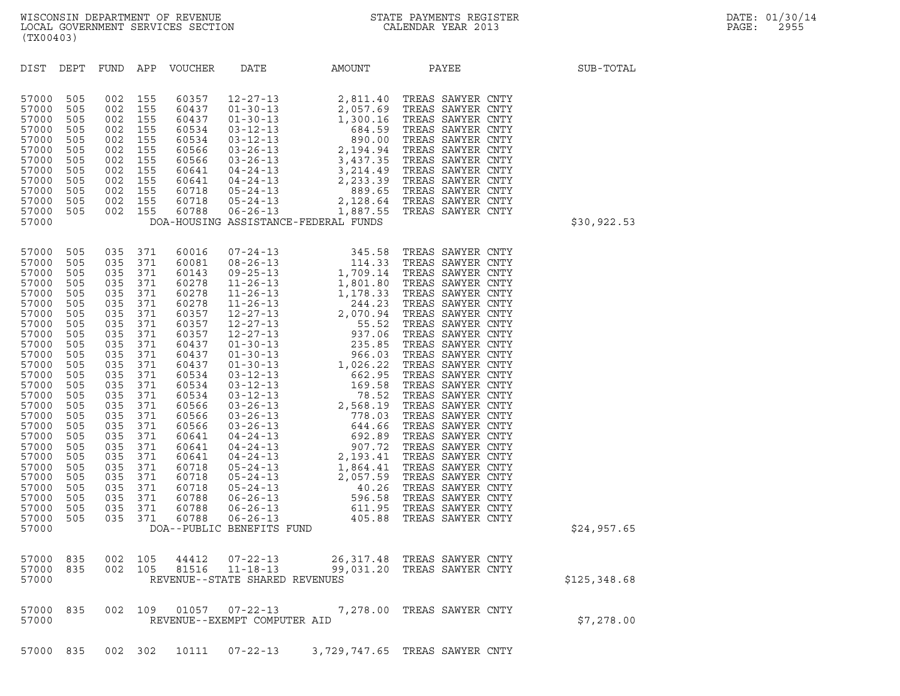| (TX00403)                                                                                                                                                                                                                                                |                                                                                                                                                                                           |                                                                                                                                                                                           |                                                                                                                                                                                           |                                                                                                                                                                                                                                                 |                                                                    |           |                                                                                                                                                                                                                                                          |              |
|----------------------------------------------------------------------------------------------------------------------------------------------------------------------------------------------------------------------------------------------------------|-------------------------------------------------------------------------------------------------------------------------------------------------------------------------------------------|-------------------------------------------------------------------------------------------------------------------------------------------------------------------------------------------|-------------------------------------------------------------------------------------------------------------------------------------------------------------------------------------------|-------------------------------------------------------------------------------------------------------------------------------------------------------------------------------------------------------------------------------------------------|--------------------------------------------------------------------|-----------|----------------------------------------------------------------------------------------------------------------------------------------------------------------------------------------------------------------------------------------------------------|--------------|
| DIST                                                                                                                                                                                                                                                     | DEPT                                                                                                                                                                                      | FUND                                                                                                                                                                                      | APP                                                                                                                                                                                       | VOUCHER                                                                                                                                                                                                                                         | DATE                                                               | AMOUNT    | PAYEE                                                                                                                                                                                                                                                    | SUB-TOTAL    |
| 57000<br>57000<br>57000<br>57000<br>57000<br>57000<br>57000<br>57000<br>57000<br>57000<br>57000<br>57000<br>57000                                                                                                                                        | 505<br>505<br>505<br>505<br>505<br>505<br>505<br>505<br>505<br>505<br>505<br>505                                                                                                          | 002<br>002<br>002<br>002<br>002<br>002<br>002<br>002<br>002<br>002<br>002<br>002                                                                                                          | 155<br>155<br>155<br>155<br>155<br>155<br>155<br>155<br>155<br>155<br>155<br>155                                                                                                          | 60357<br>60437<br>60437<br>60534<br>60534<br>60566<br>60566<br>60641<br>60641<br>60718<br>60718<br>60788                                                                                                                                        | DOA-HOUSING ASSISTANCE-FEDERAL FUNDS                               |           | 12-27-13<br>01-30-13<br>2,057.69 TREAS SAWYER CNTY<br>01-30-13<br>1,300.16 TREAS SAWYER CNTY<br>03-12-13<br>03-26-13<br>2,194.94 TREAS SAWYER CNTY<br>03-26-13<br>2,194.94 TREAS SAWYER CNTY<br>04-24-13<br>2,233.39 TREAS SAWYER CNTY<br>04-24-13<br>2, | \$30,922.53  |
| 57000<br>57000<br>57000<br>57000<br>57000<br>57000<br>57000<br>57000<br>57000<br>57000<br>57000<br>57000<br>57000<br>57000<br>57000<br>57000<br>57000<br>57000<br>57000<br>57000<br>57000<br>57000<br>57000<br>57000<br>57000<br>57000<br>57000<br>57000 | 505<br>505<br>505<br>505<br>505<br>505<br>505<br>505<br>505<br>505<br>505<br>505<br>505<br>505<br>505<br>505<br>505<br>505<br>505<br>505<br>505<br>505<br>505<br>505<br>505<br>505<br>505 | 035<br>035<br>035<br>035<br>035<br>035<br>035<br>035<br>035<br>035<br>035<br>035<br>035<br>035<br>035<br>035<br>035<br>035<br>035<br>035<br>035<br>035<br>035<br>035<br>035<br>035<br>035 | 371<br>371<br>371<br>371<br>371<br>371<br>371<br>371<br>371<br>371<br>371<br>371<br>371<br>371<br>371<br>371<br>371<br>371<br>371<br>371<br>371<br>371<br>371<br>371<br>371<br>371<br>371 | 60016<br>60081<br>60143<br>60278<br>60278<br>60278<br>60357<br>60357<br>60357<br>60437<br>60437<br>60437<br>60534<br>60534<br>60534<br>60566<br>60566<br>60566<br>60641<br>60641<br>60641<br>60718<br>60718<br>60718<br>60788<br>60788<br>60788 | DOA--PUBLIC BENEFITS FUND                                          |           |                                                                                                                                                                                                                                                          | \$24,957.65  |
| 57000<br>57000<br>57000                                                                                                                                                                                                                                  | 835<br>835                                                                                                                                                                                | 002<br>002                                                                                                                                                                                | 105<br>105                                                                                                                                                                                | 44412<br>81516                                                                                                                                                                                                                                  | $07 - 22 - 13$<br>$11 - 18 - 13$<br>REVENUE--STATE SHARED REVENUES | 99,031.20 | 26,317.48 TREAS SAWYER CNTY<br>TREAS SAWYER CNTY                                                                                                                                                                                                         | \$125,348.68 |
| 57000<br>57000                                                                                                                                                                                                                                           | 835                                                                                                                                                                                       | 002                                                                                                                                                                                       | 109                                                                                                                                                                                       | 01057                                                                                                                                                                                                                                           | $07 - 22 - 13$<br>REVENUE--EXEMPT COMPUTER AID                     | 7,278.00  | TREAS SAWYER CNTY                                                                                                                                                                                                                                        | \$7,278.00   |

57000 835 002 302 10111 07-22-13 3,729,747.65 TREAS SAWYER CNTY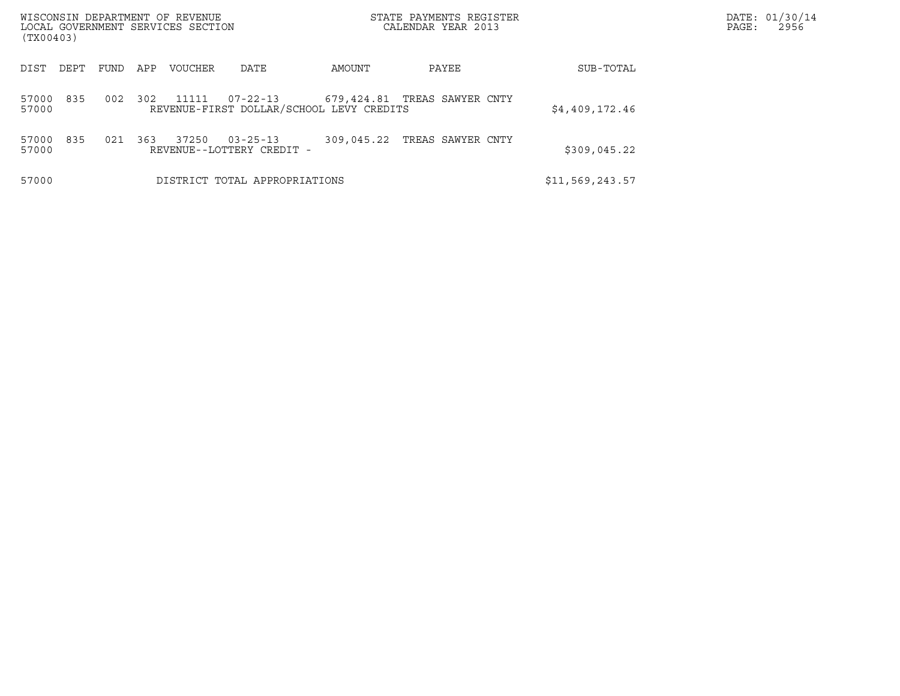| WISCONSIN DEPARTMENT OF REVENUE<br>LOCAL GOVERNMENT SERVICES SECTION<br>(TX00403) |      |     |         |                                             |                                          | STATE PAYMENTS REGISTER<br>CALENDAR YEAR 2013 |                 | DATE: 01/30/14<br>PAGE:<br>2956 |
|-----------------------------------------------------------------------------------|------|-----|---------|---------------------------------------------|------------------------------------------|-----------------------------------------------|-----------------|---------------------------------|
| DIST<br>DEPT                                                                      | FUND | APP | VOUCHER | DATE                                        | AMOUNT                                   | PAYEE                                         | SUB-TOTAL       |                                 |
| 835<br>57000<br>57000                                                             | 002  | 302 | 11111   | $07 - 22 - 13$                              | REVENUE-FIRST DOLLAR/SCHOOL LEVY CREDITS | 679,424.81 TREAS SAWYER CNTY                  | \$4,409,172.46  |                                 |
| 835<br>57000<br>57000                                                             | 021  | 363 | 37250   | $03 - 25 - 13$<br>REVENUE--LOTTERY CREDIT - | 309,045.22                               | TREAS SAWYER CNTY                             | \$309,045.22    |                                 |
| 57000                                                                             |      |     |         | DISTRICT TOTAL APPROPRIATIONS               |                                          |                                               | \$11,569,243.57 |                                 |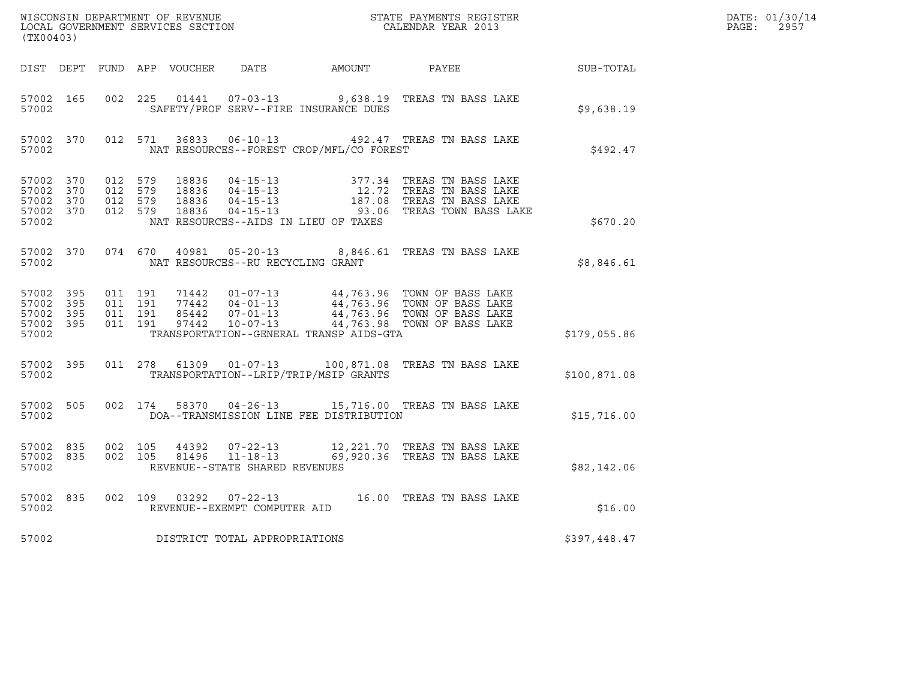| (TX00403)                                                 |                        |                                          |                    |                |                                   |                                          |                                                                                                                                                                                                  |              | DATE: 01/30/14<br>$\mathtt{PAGE}$ :<br>2957 |
|-----------------------------------------------------------|------------------------|------------------------------------------|--------------------|----------------|-----------------------------------|------------------------------------------|--------------------------------------------------------------------------------------------------------------------------------------------------------------------------------------------------|--------------|---------------------------------------------|
|                                                           |                        |                                          |                    |                |                                   |                                          | DIST DEPT FUND APP VOUCHER  DATE           AMOUNT           PAYEE                                                                                                                                | SUB-TOTAL    |                                             |
| 57002 165<br>57002                                        |                        | 002 225                                  |                    |                |                                   | SAFETY/PROF SERV--FIRE INSURANCE DUES    | 01441  07-03-13  9,638.19  TREAS TN BASS LAKE                                                                                                                                                    | \$9,638.19   |                                             |
| 57002                                                     | 57002 370              |                                          | 012 571            |                |                                   | NAT RESOURCES--FOREST CROP/MFL/CO FOREST | 36833  06-10-13  492.47  TREAS TN BASS LAKE                                                                                                                                                      | \$492.47     |                                             |
| 57002 370<br>57002 370<br>57002 370<br>57002 370<br>57002 |                        | 012 579<br>012 579<br>012 579<br>012 579 |                    |                |                                   | NAT RESOURCES--AIDS IN LIEU OF TAXES     | 18836 04-15-13 377.34 TREAS TN BASS LAKE<br>18836 04-15-13 12.72 TREAS TN BASS LAKE<br>18836 04-15-13 187.08 TREAS TN BASS LAKE<br>18836 04-15-13 187.06 TREAS TOWN BASS LAKE                    | \$670.20     |                                             |
| 57002                                                     | 57002 370              |                                          |                    |                | NAT RESOURCES--RU RECYCLING GRANT |                                          | 074 670 40981 05-20-13 8,846.61 TREAS TN BASS LAKE                                                                                                                                               | \$8,846.61   |                                             |
| 57002 395<br>57002 395<br>57002 395<br>57002 395<br>57002 |                        | 011 191<br>011 191                       | 011 191<br>011 191 |                |                                   | TRANSPORTATION--GENERAL TRANSP AIDS-GTA  | 71442  01-07-13  44,763.96  TOWN OF BASS LAKE<br>77442  04-01-13  44,763.96  TOWN OF BASS LAKE<br>85442  07-01-13  44,763.96  TOWN OF BASS LAKE<br>97442  10-07-13  44,763.98  TOWN OF BASS LAKE | \$179,055.86 |                                             |
| 57002                                                     | 57002 395              |                                          |                    |                |                                   | TRANSPORTATION--LRIP/TRIP/MSIP GRANTS    | 011  278  61309  01-07-13  100,871.08  TREAS TN BASS LAKE                                                                                                                                        | \$100,871.08 |                                             |
| 57002 505<br>57002                                        |                        | 002 174                                  |                    | 58370          |                                   | DOA--TRANSMISSION LINE FEE DISTRIBUTION  | 04-26-13 15,716.00 TREAS TN BASS LAKE                                                                                                                                                            | \$15,716.00  |                                             |
| 57002                                                     | 57002 835<br>57002 835 | 002 105<br>002 105                       |                    | 44392<br>81496 | REVENUE--STATE SHARED REVENUES    |                                          | 07-22-13 12,221.70 TREAS TN BASS LAKE<br>11-18-13 69,920.36 TREAS TN BASS LAKE                                                                                                                   | \$82,142.06  |                                             |
| 57002                                                     | 57002 835              |                                          |                    |                | REVENUE--EXEMPT COMPUTER AID      |                                          | 002 109 03292 07-22-13 16.00 TREAS TN BASS LAKE                                                                                                                                                  | \$16.00      |                                             |
| 57002                                                     |                        |                                          |                    |                | DISTRICT TOTAL APPROPRIATIONS     |                                          |                                                                                                                                                                                                  | \$397,448.47 |                                             |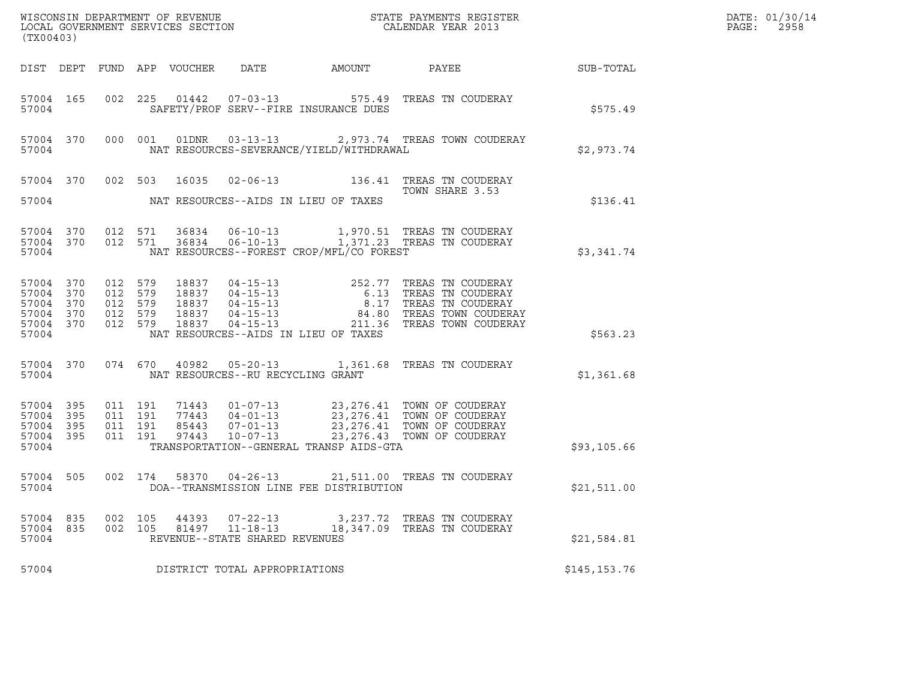| (TX00403)                                              |                          |                    |       |                                                                    |                                                      |                                                                                                                                                                                                                                        |                  | DATE: 01/30/14<br>PAGE:<br>2958 |
|--------------------------------------------------------|--------------------------|--------------------|-------|--------------------------------------------------------------------|------------------------------------------------------|----------------------------------------------------------------------------------------------------------------------------------------------------------------------------------------------------------------------------------------|------------------|---------------------------------|
|                                                        |                          |                    |       |                                                                    | DIST DEPT FUND APP VOUCHER DATE     AMOUNT     PAYEE |                                                                                                                                                                                                                                        | <b>SUB-TOTAL</b> |                                 |
| 57004                                                  |                          |                    |       |                                                                    | SAFETY/PROF SERV--FIRE INSURANCE DUES                | 57004 165 002 225 01442 07-03-13 575.49 TREAS TN COUDERAY                                                                                                                                                                              | \$575.49         |                                 |
| 57004                                                  |                          |                    |       |                                                                    | NAT RESOURCES-SEVERANCE/YIELD/WITHDRAWAL             | 57004 370 000 001 01DNR 03-13-13 2,973.74 TREAS TOWN COUDERAY                                                                                                                                                                          | \$2,973.74       |                                 |
|                                                        |                          |                    |       |                                                                    |                                                      | 57004 370 002 503 16035 02-06-13 136.41 TREAS TN COUDERAY<br>TOWN SHARE 3.53                                                                                                                                                           |                  |                                 |
| 57004                                                  |                          |                    |       |                                                                    | NAT RESOURCES--AIDS IN LIEU OF TAXES                 |                                                                                                                                                                                                                                        | \$136.41         |                                 |
| 57004                                                  |                          |                    |       |                                                                    | NAT RESOURCES--FOREST CROP/MFL/CO FOREST             | 57004 370 012 571 36834 06-10-13 1,970.51 TREAS TN COUDERAY<br>57004 370 012 571 36834 06-10-13 1,371.23 TREAS TN COUDERAY                                                                                                             | \$3,341.74       |                                 |
| 57004 370<br>57004<br>57004<br>57004<br>57004<br>57004 | 370<br>370<br>370<br>370 |                    |       |                                                                    | NAT RESOURCES--AIDS IN LIEU OF TAXES                 | 012 579 18837 04-15-13 252.77 TREAS TN COUDERAY<br>012 579 18837 04-15-13 6.13 TREAS TN COUDERAY<br>012 579 18837 04-15-13 8.17 TREAS TN COUDERAY<br>012 579 18837 04-15-13 84.80 TREAS TOWN COUDERAY<br>012 579 18837 04-15-13 211.36 | \$563.23         |                                 |
| 57004                                                  |                          |                    |       | NAT RESOURCES--RU RECYCLING GRANT                                  |                                                      | 57004 370 074 670 40982 05-20-13 1,361.68 TREAS TN COUDERAY                                                                                                                                                                            | \$1,361.68       |                                 |
| 57004                                                  |                          |                    |       |                                                                    | TRANSPORTATION--GENERAL TRANSP AIDS-GTA              | 995 11 191 71443 11-17-13 23,276.41 TOWN OF COUDERAY<br>1995 11 191 77443 104-01-13 23,276.41 TOWN OF COUDERAY<br>1995 11 191 85443 17-01-13 23,276.41 TOWN OF COUDERAY<br>1997 1997 10207-13 23,276.43 TOWN OF COUDERAY               | \$93,105.66      |                                 |
| 57004                                                  |                          |                    |       |                                                                    | DOA--TRANSMISSION LINE FEE DISTRIBUTION              | 57004 505 002 174 58370 04-26-13 21,511.00 TREAS TN COUDERAY                                                                                                                                                                           | \$21,511.00      |                                 |
| 57004 835<br>57004<br>57004                            | 835                      | 002 105<br>002 105 | 44393 | $07 - 22 - 13$<br>81497 11-18-13<br>REVENUE--STATE SHARED REVENUES |                                                      | 3,237.72   TREAS  TN  COUDERAY<br>18,347.09 TREAS TN COUDERAY                                                                                                                                                                          | \$21,584.81      |                                 |
| 57004                                                  |                          |                    |       | DISTRICT TOTAL APPROPRIATIONS                                      |                                                      |                                                                                                                                                                                                                                        | \$145,153.76     |                                 |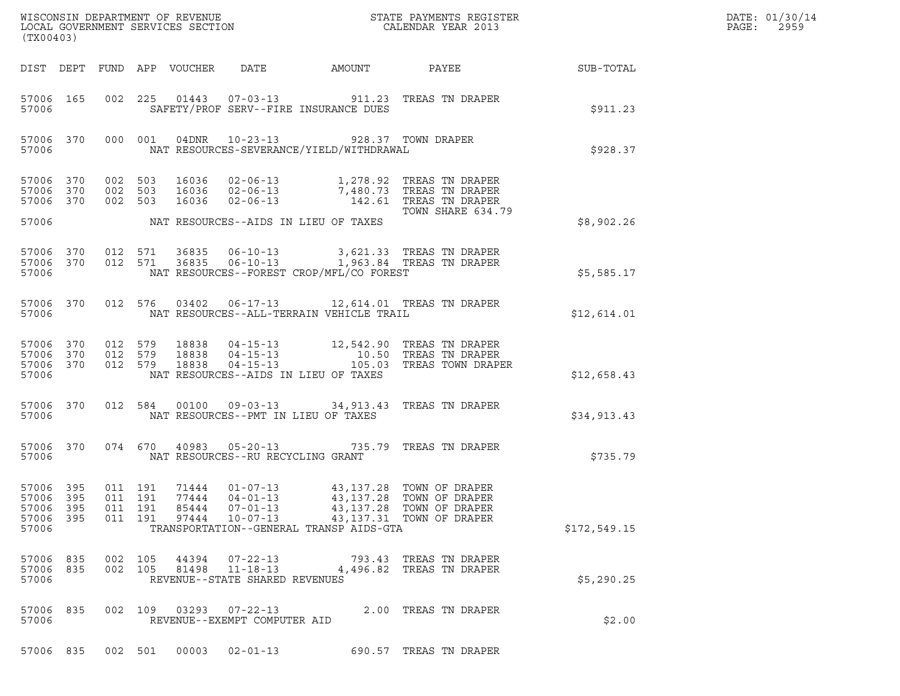| (TX00403)                                                 |                    |                               |                         |                                                                    |                                                                                                              | ${\tt WISCONSIM\ DEPARTMENT\ OF\ REVENUE}\qquad \qquad {\tt STATE\ PAYMENTS\ REGISTER\ LOCAL\ GOVERNMENT\ SERVICES\ SECTION\qquad \qquad {\tt CALENDAR\ YEAR\ 2013}}$ |              | DATE: 01/30/14<br>PAGE:<br>2959 |
|-----------------------------------------------------------|--------------------|-------------------------------|-------------------------|--------------------------------------------------------------------|--------------------------------------------------------------------------------------------------------------|-----------------------------------------------------------------------------------------------------------------------------------------------------------------------|--------------|---------------------------------|
|                                                           |                    |                               |                         |                                                                    |                                                                                                              |                                                                                                                                                                       |              |                                 |
| 57006 165                                                 | 57006              |                               |                         |                                                                    | SAFETY/PROF SERV--FIRE INSURANCE DUES                                                                        | 002 225 01443 07-03-13 911.23 TREAS TN DRAPER                                                                                                                         | \$911.23     |                                 |
|                                                           | 57006 370<br>57006 |                               |                         |                                                                    | 000 001 04DNR 10-23-13 928.37 TOWN DRAPER<br>NAT RESOURCES-SEVERANCE/YIELD/WITHDRAWAL                        |                                                                                                                                                                       | \$928.37     |                                 |
| 57006 370<br>57006 370<br>57006 370                       |                    | 002 503<br>002 503<br>002 503 |                         |                                                                    |                                                                                                              | 16036 02-06-13 1,278.92 TREAS TN DRAPER<br>16036 02-06-13 7,480.73 TREAS TN DRAPER<br>16036 02-06-13 142.61 TREAS TN DRAPER<br>TOWN SHARE 634.79                      |              |                                 |
|                                                           |                    |                               |                         |                                                                    | 57006 MAT RESOURCES--AIDS IN LIEU OF TAXES                                                                   |                                                                                                                                                                       | \$8,902.26   |                                 |
| 57006 370<br>57006 370<br>57006                           |                    |                               |                         |                                                                    | NAT RESOURCES--FOREST CROP/MFL/CO FOREST                                                                     | 012 571 36835 06-10-13 3,621.33 TREAS TN DRAPER<br>012 571 36835 06-10-13 1,963.84 TREAS TN DRAPER                                                                    | \$5,585.17   |                                 |
|                                                           | 57006 370<br>57006 |                               |                         |                                                                    | NAT RESOURCES--ALL-TERRAIN VEHICLE TRAIL                                                                     | 012 576 03402 06-17-13 12,614.01 TREAS TN DRAPER                                                                                                                      | \$12,614.01  |                                 |
| 57006 370<br>57006 370<br>57006                           | 57006 370          |                               |                         |                                                                    | NAT RESOURCES--AIDS IN LIEU OF TAXES                                                                         | 012 579 18838 04-15-13 12,542.90 TREAS TN DRAPER<br>012 579 18838 04-15-13 10.50 TREAS TN DRAPER<br>012 579 18838 04-15-13 105.03 TREAS TOWN DRAPER                   | \$12,658.43  |                                 |
| 57006                                                     | 57006 370          |                               |                         |                                                                    | NAT RESOURCES--PMT IN LIEU OF TAXES                                                                          | 012 584 00100 09-03-13 34, 913.43 TREAS TN DRAPER                                                                                                                     | \$34,913.43  |                                 |
|                                                           | 57006 370<br>57006 |                               |                         | NAT RESOURCES--RU RECYCLING GRANT                                  |                                                                                                              | 074 670 40983 05-20-13 735.79 TREAS TN DRAPER                                                                                                                         | \$735.79     |                                 |
| 57006 395<br>57006 395<br>57006 395<br>57006 395<br>57006 |                    | 011 191<br>011 191<br>011 191 | 77444<br>85444<br>97444 | $04 - 01 - 13$<br>$07 - 01 - 13$<br>$10 - 07 - 13$                 | 011  191  71444  01-07-13  43,137.28  TOWN OF DRAPER<br>43,137.28<br>TRANSPORTATION--GENERAL TRANSP AIDS-GTA | TOWN OF DRAPER<br>43,137.28 TOWN OF DRAPER<br>43,137.31 TOWN OF DRAPER                                                                                                | \$172,549.15 |                                 |
| 57006 835<br>57006 835<br>57006                           |                    | 002 105<br>002 105            |                         | 44394 07-22-13<br>81498 11-18-13<br>REVENUE--STATE SHARED REVENUES |                                                                                                              | 793.43   TREAS  TN  DRAPER<br>4,496.82 TREAS TN DRAPER                                                                                                                | \$5,290.25   |                                 |
| 57006 835<br>57006                                        |                    |                               |                         | REVENUE--EXEMPT COMPUTER AID                                       |                                                                                                              | 002 109 03293 07-22-13 2.00 TREAS TN DRAPER                                                                                                                           | \$2.00       |                                 |
| 57006 835                                                 |                    | 002 501                       |                         | $00003$ $02 - 01 - 13$                                             |                                                                                                              | 690.57 TREAS TN DRAPER                                                                                                                                                |              |                                 |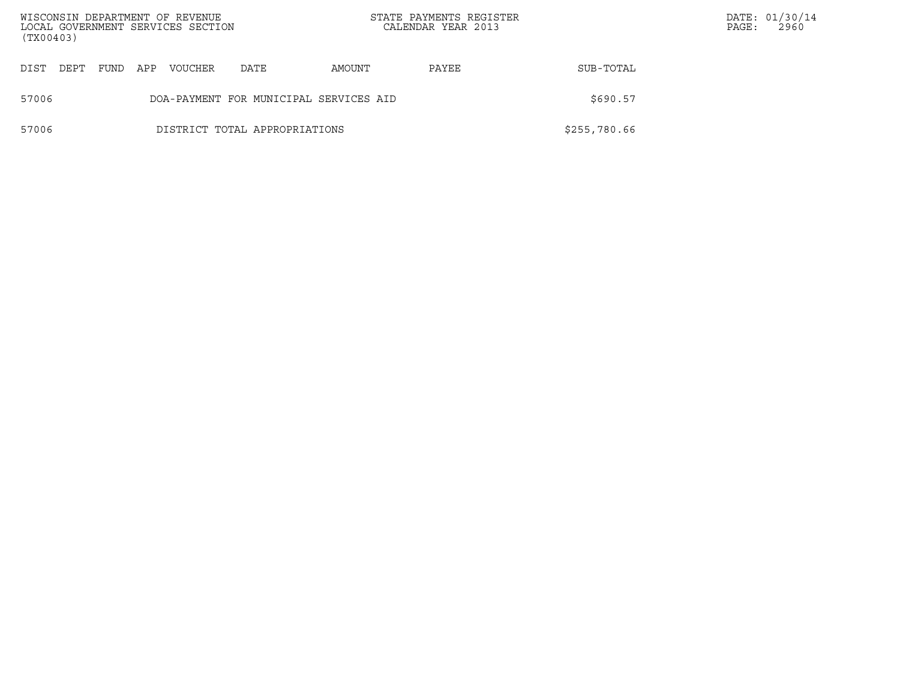| (TX00403) |      |      |     | WISCONSIN DEPARTMENT OF REVENUE<br>LOCAL GOVERNMENT SERVICES SECTION |                                        |        | STATE PAYMENTS REGISTER<br>CALENDAR YEAR 2013 |              | PAGE: | DATE: 01/30/14<br>2960 |
|-----------|------|------|-----|----------------------------------------------------------------------|----------------------------------------|--------|-----------------------------------------------|--------------|-------|------------------------|
| DIST      | DEPT | FUND | APP | <b>VOUCHER</b>                                                       | DATE                                   | AMOUNT | PAYEE                                         | SUB-TOTAL    |       |                        |
| 57006     |      |      |     |                                                                      | DOA-PAYMENT FOR MUNICIPAL SERVICES AID |        |                                               | \$690.57     |       |                        |
| 57006     |      |      |     |                                                                      | DISTRICT TOTAL APPROPRIATIONS          |        |                                               | \$255,780.66 |       |                        |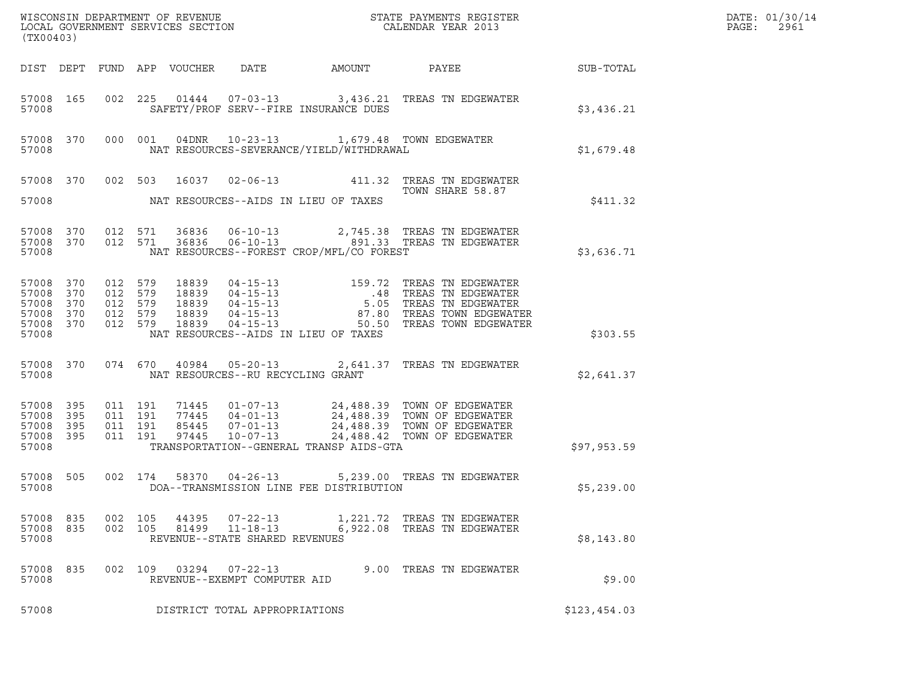| (TX00403)                                                  |                   |                                                     |                    |                |                                                                    |                                                                                            | WISCONSIN DEPARTMENT OF REVENUE<br>LOCAL GOVERNMENT SERVICES SECTION<br>(TWOO100) CALENDAR YEAR 2013                                                                                             |                  | DATE: 01/30/14<br>PAGE:<br>2961 |
|------------------------------------------------------------|-------------------|-----------------------------------------------------|--------------------|----------------|--------------------------------------------------------------------|--------------------------------------------------------------------------------------------|--------------------------------------------------------------------------------------------------------------------------------------------------------------------------------------------------|------------------|---------------------------------|
|                                                            |                   |                                                     |                    |                |                                                                    | DIST DEPT FUND APP VOUCHER DATE AMOUNT                                                     | PAYEE                                                                                                                                                                                            | <b>SUB-TOTAL</b> |                                 |
| 57008                                                      | 57008 165         |                                                     |                    |                |                                                                    | SAFETY/PROF SERV--FIRE INSURANCE DUES                                                      | 002 225 01444 07-03-13 3,436.21 TREAS TN EDGEWATER                                                                                                                                               | \$3,436.21       |                                 |
| 57008                                                      | 57008 370         |                                                     |                    |                |                                                                    | 000 001 04DNR 10-23-13 1,679.48 TOWN EDGEWATER<br>NAT RESOURCES-SEVERANCE/YIELD/WITHDRAWAL |                                                                                                                                                                                                  | \$1,679.48       |                                 |
| 57008                                                      |                   |                                                     |                    |                |                                                                    | NAT RESOURCES--AIDS IN LIEU OF TAXES                                                       | 57008 370 002 503 16037 02-06-13 411.32 TREAS TN EDGEWATER<br>TOWN SHARE 58.87                                                                                                                   | \$411.32         |                                 |
| 57008 370<br>57008                                         |                   | 012 571<br>57008 370 012 571                        |                    |                |                                                                    | NAT RESOURCES--FOREST CROP/MFL/CO FOREST                                                   |                                                                                                                                                                                                  | \$3,636.71       |                                 |
| 57008 370<br>57008<br>57008<br>57008<br>57008 370<br>57008 | 370<br>370<br>370 | 012 579<br>012 579<br>012 579<br>012 579<br>012 579 |                    |                |                                                                    | NAT RESOURCES--AIDS IN LIEU OF TAXES                                                       |                                                                                                                                                                                                  | \$303.55         |                                 |
| 57008                                                      |                   |                                                     |                    |                | NAT RESOURCES--RU RECYCLING GRANT                                  |                                                                                            | 57008 370 074 670 40984 05-20-13 2,641.37 TREAS TN EDGEWATER                                                                                                                                     | \$2,641.37       |                                 |
| 57008 395<br>57008<br>57008<br>57008 395<br>57008          | 395<br>395        | 011 191<br>011 191                                  | 011 191<br>011 191 |                |                                                                    | TRANSPORTATION--GENERAL TRANSP AIDS-GTA                                                    | 71445  01-07-13  24,488.39  TOWN OF EDGEWATER<br>77445  04-01-13  24,488.39  TOWN OF EDGEWATER<br>85445  07-01-13  24,488.39  TOWN OF EDGEWATER<br>97445  10-07-13  24,488.42  TOWN OF EDGEWATER | \$97,953.59      |                                 |
| 57008 505<br>57008                                         |                   |                                                     |                    |                |                                                                    | DOA--TRANSMISSION LINE FEE DISTRIBUTION                                                    | 002 174 58370 04-26-13 5,239.00 TREAS TN EDGEWATER                                                                                                                                               | \$5,239.00       |                                 |
| 57008 835<br>57008 835<br>57008                            |                   | 002 105<br>002 105                                  |                    | 44395<br>81499 | $07 - 22 - 13$<br>$11 - 18 - 13$<br>REVENUE--STATE SHARED REVENUES |                                                                                            | 1,221.72 TREAS TN EDGEWATER<br>6,922.08 TREAS TN EDGEWATER                                                                                                                                       | \$8,143.80       |                                 |
| 57008 835<br>57008                                         |                   | 002 109                                             |                    |                | 03294 07-22-13<br>REVENUE--EXEMPT COMPUTER AID                     |                                                                                            | 9.00 TREAS TN EDGEWATER                                                                                                                                                                          | \$9.00           |                                 |
| 57008                                                      |                   |                                                     |                    |                | DISTRICT TOTAL APPROPRIATIONS                                      |                                                                                            |                                                                                                                                                                                                  | \$123,454.03     |                                 |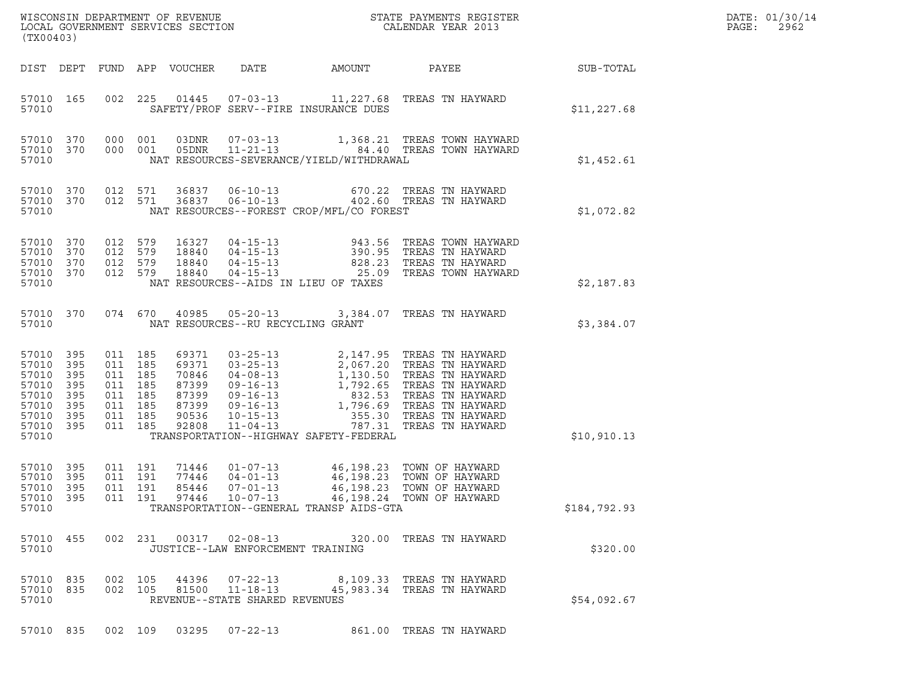| (TX00403)                                                                                 |                                 |                                                                                      | LOCAL GOVERNMENT SERVICES SECTION                                    |                                      |                                          | ${\tt WISCONSIN} \begin{tabular}{l} DEPARTMENT OF REVIEW \\ LOCAL GOVERIMENT SERVICES SECTION \\ \end{tabular} \begin{tabular}{l} \multicolumn{2}{c}{\textbf{S}} \\ \multicolumn{2}{c}{\textbf{S}} \\ \multicolumn{2}{c}{\textbf{S}} \\ \multicolumn{2}{c}{\textbf{S}} \\ \multicolumn{2}{c}{\textbf{S}} \\ \multicolumn{2}{c}{\textbf{S}} \\ \multicolumn{2}{c}{\textbf{S}} \\ \multicolumn{2}{c}{\textbf{S}} \\ \multicolumn{2}{c}{\textbf{S}} \\ \multicolumn{2}{c}{\textbf{S}} \\ \multicolumn{2}{c}{\textbf{$ |                  | DATE: 01/30/14<br>PAGE:<br>2962 |
|-------------------------------------------------------------------------------------------|---------------------------------|--------------------------------------------------------------------------------------|----------------------------------------------------------------------|--------------------------------------|------------------------------------------|--------------------------------------------------------------------------------------------------------------------------------------------------------------------------------------------------------------------------------------------------------------------------------------------------------------------------------------------------------------------------------------------------------------------------------------------------------------------------------------------------------------------|------------------|---------------------------------|
|                                                                                           |                                 |                                                                                      | DIST DEPT FUND APP VOUCHER                                           | DATE                                 | AMOUNT                                   | PAYEE                                                                                                                                                                                                                                                                                                                                                                                                                                                                                                              | <b>SUB-TOTAL</b> |                                 |
| 57010 165<br>57010                                                                        |                                 |                                                                                      |                                                                      |                                      | SAFETY/PROF SERV--FIRE INSURANCE DUES    | 002 225 01445 07-03-13 11,227.68 TREAS TN HAYWARD                                                                                                                                                                                                                                                                                                                                                                                                                                                                  | \$11, 227.68     |                                 |
| 57010 370<br>57010 370<br>57010                                                           |                                 | 000 001<br>000 001                                                                   |                                                                      |                                      | NAT RESOURCES-SEVERANCE/YIELD/WITHDRAWAL | 03DNR  07-03-13    1,368.21 TREAS TOWN HAYWARD<br>05DNR    11-21-13    84.40 TREAS TOWN HAYWARD                                                                                                                                                                                                                                                                                                                                                                                                                    | \$1,452.61       |                                 |
| 57010 370<br>57010 370<br>57010                                                           |                                 | 012 571<br>012 571                                                                   |                                                                      |                                      | NAT RESOURCES--FOREST CROP/MFL/CO FOREST | 36837   06-10-13   670.22   TREAS TN HAYWARD<br>36837   06-10-13   402.60   TREAS TN HAYWARD                                                                                                                                                                                                                                                                                                                                                                                                                       | \$1,072.82       |                                 |
| 57010 370<br>57010<br>57010<br>57010 370<br>57010                                         | 370<br>370                      | 012 579<br>012 579<br>012 579<br>012 579                                             | 16327<br>18840<br>18840<br>18840                                     | NAT RESOURCES--AIDS IN LIEU OF TAXES |                                          | 04-15-13 943.56 TREAS TOWN HAYWARD<br>04-15-13 390.95 TREAS TN HAYWARD<br>04-15-13 828.23 TREAS TN HAYWARD<br>04-15-13 25.09 TREAS TOWN HAYWARD                                                                                                                                                                                                                                                                                                                                                                    | \$2,187.83       |                                 |
| 57010 370<br>57010                                                                        |                                 |                                                                                      | 074 670                                                              | NAT RESOURCES--RU RECYCLING GRANT    |                                          | 40985  05-20-13  3,384.07  TREAS TN HAYWARD                                                                                                                                                                                                                                                                                                                                                                                                                                                                        | \$3,384.07       |                                 |
| 57010 395<br>57010 395<br>57010<br>57010<br>57010<br>57010<br>57010<br>57010 395<br>57010 | 395<br>395<br>395<br>395<br>395 | 011 185<br>011 185<br>011 185<br>011 185<br>011 185<br>011 185<br>011 185<br>011 185 | 69371<br>69371<br>70846<br>87399<br>87399<br>87399<br>90536<br>92808 |                                      | TRANSPORTATION--HIGHWAY SAFETY-FEDERAL   | 03-25-13<br>03-25-13<br>03-25-13<br>04-08-13<br>1,130.50 TREAS TN HAYWARD<br>09-16-13<br>1,792.65 TREAS TN HAYWARD<br>09-16-13<br>1,796.69 TREAS TN HAYWARD<br>10-15-13<br>1,796.69 TREAS TN HAYWARD<br>10-15-13<br>1,796.69 TREAS TN HAYWARD<br>11-04-1                                                                                                                                                                                                                                                           | \$10,910.13      |                                 |
| 57010 395<br>57010 395<br>57010 395<br>57010 395<br>57010                                 |                                 | 011 191<br>011 191<br>011 191                                                        | 71446<br>77446<br>85446                                              | $04 - 01 - 13$<br>$07 - 01 - 13$     | TRANSPORTATION--GENERAL TRANSP AIDS-GTA  | 01-07-13 46,198.23 TOWN OF HAYWARD<br>46,198.23 TOWN OF HAYWARD<br>46,198.23 TOWN OF HAYWARD<br>011  191  97446  10-07-13  46,198.24  TOWN OF HAYWARD                                                                                                                                                                                                                                                                                                                                                              | \$184,792.93     |                                 |
| 57010 455<br>57010                                                                        |                                 |                                                                                      |                                                                      | JUSTICE--LAW ENFORCEMENT TRAINING    |                                          | 002 231 00317 02-08-13 320.00 TREAS TN HAYWARD                                                                                                                                                                                                                                                                                                                                                                                                                                                                     | \$320.00         |                                 |
| 57010 835<br>57010                                                                        | 57010 835                       | 002 105<br>002 105                                                                   |                                                                      | REVENUE--STATE SHARED REVENUES       |                                          | 44396 07-22-13 8,109.33 TREAS TN HAYWARD<br>81500  11-18-13  45,983.34  TREAS TN HAYWARD                                                                                                                                                                                                                                                                                                                                                                                                                           | \$54,092.67      |                                 |
|                                                                                           | 57010 835                       |                                                                                      |                                                                      | 002 109 03295 07-22-13               |                                          | 861.00 TREAS TN HAYWARD                                                                                                                                                                                                                                                                                                                                                                                                                                                                                            |                  |                                 |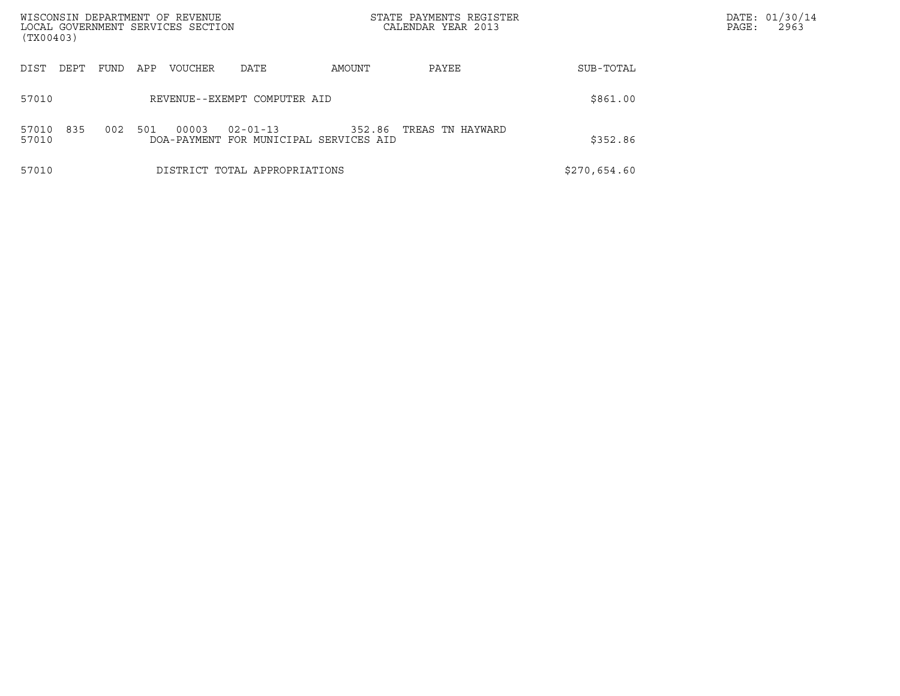| WISCONSIN DEPARTMENT OF REVENUE<br>LOCAL GOVERNMENT SERVICES SECTION<br>(TX00403) |             |                               |                                                  | STATE PAYMENTS REGISTER<br>CALENDAR YEAR 2013 |              | DATE: 01/30/14<br>PAGE:<br>2963 |
|-----------------------------------------------------------------------------------|-------------|-------------------------------|--------------------------------------------------|-----------------------------------------------|--------------|---------------------------------|
| DIST<br>DEPT                                                                      | FUND<br>APP | VOUCHER<br>DATE               | AMOUNT                                           | PAYEE                                         | SUB-TOTAL    |                                 |
| 57010                                                                             |             | REVENUE--EXEMPT COMPUTER AID  |                                                  |                                               | \$861.00     |                                 |
| 835<br>57010<br>57010                                                             | 002<br>501  | 00003<br>$02 - 01 - 13$       | 352.86<br>DOA-PAYMENT FOR MUNICIPAL SERVICES AID | TREAS TN HAYWARD                              | \$352.86     |                                 |
| 57010                                                                             |             | DISTRICT TOTAL APPROPRIATIONS |                                                  |                                               | \$270,654.60 |                                 |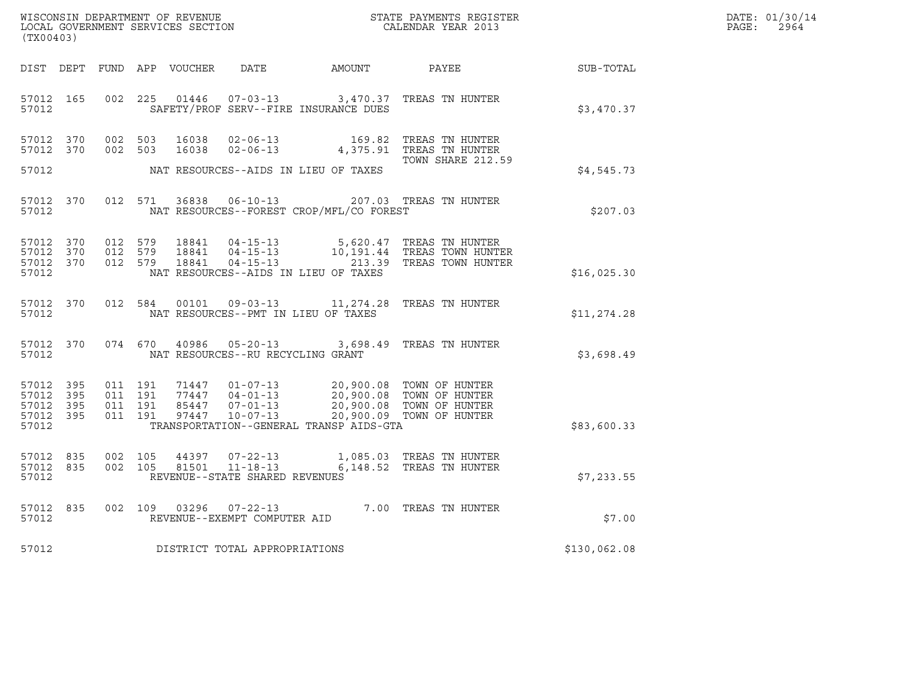| DATE: | 01/30/14 |
|-------|----------|
| PAGE: | 2964     |

| (TX00403)                                                 |                        |                                          |                    |                                   |                                          |                                                                                                                                                                    |              | DATE: 01/30/14<br>$\mathtt{PAGE:}$<br>2964 |
|-----------------------------------------------------------|------------------------|------------------------------------------|--------------------|-----------------------------------|------------------------------------------|--------------------------------------------------------------------------------------------------------------------------------------------------------------------|--------------|--------------------------------------------|
|                                                           |                        |                                          |                    |                                   |                                          | DIST DEPT FUND APP VOUCHER DATE AMOUNT PAYEE TO SUB-TOTAL                                                                                                          |              |                                            |
| 57012                                                     | 57012 165              |                                          |                    |                                   | SAFETY/PROF SERV--FIRE INSURANCE DUES    | 002 225 01446 07-03-13 3,470.37 TREAS TN HUNTER                                                                                                                    | \$3,470.37   |                                            |
|                                                           | 57012 370<br>57012 370 |                                          | 002 503<br>002 503 |                                   |                                          | TOWN SHARE 212.59                                                                                                                                                  |              |                                            |
| 57012                                                     |                        |                                          |                    |                                   | NAT RESOURCES--AIDS IN LIEU OF TAXES     |                                                                                                                                                                    | \$4,545.73   |                                            |
| 57012                                                     |                        |                                          |                    |                                   | NAT RESOURCES--FOREST CROP/MFL/CO FOREST | 57012 370 012 571 36838 06-10-13 207.03 TREAS TN HUNTER                                                                                                            | \$207.03     |                                            |
| 57012 370<br>57012 370<br>57012                           | 57012 370              | 012 579<br>012 579<br>012 579            |                    |                                   | NAT RESOURCES--AIDS IN LIEU OF TAXES     | 18841   04-15-13   5,620.47 TREAS TN HUNTER<br>18841   04-15-13   10,191.44 TREAS TOWN HUNTER<br>18841   04-15-13   213.39 TREAS TOWN HUNTER                       | \$16,025.30  |                                            |
| 57012                                                     | 57012 370              |                                          |                    |                                   | NAT RESOURCES--PMT IN LIEU OF TAXES      | 012 584 00101 09-03-13 11,274.28 TREAS TN HUNTER                                                                                                                   | \$11,274.28  |                                            |
| 57012                                                     | 57012 370              |                                          |                    | NAT RESOURCES--RU RECYCLING GRANT |                                          | 074 670 40986 05-20-13 3,698.49 TREAS TN HUNTER                                                                                                                    | \$3,698.49   |                                            |
| 57012 395<br>57012 395<br>57012 395<br>57012 395<br>57012 |                        | 011 191<br>011 191<br>011 191<br>011 191 |                    | 97447  10-07-13                   | TRANSPORTATION--GENERAL TRANSP AIDS-GTA  | 71447  01-07-13  20,900.08  TOWN OF HUNTER<br>77447  04-01-13  20,900.08  TOWN OF HUNTER<br>85447  07-01-13  20,900.08  TOWN OF HUNTER<br>20,900.09 TOWN OF HUNTER | \$83,600.33  |                                            |
| 57012 835<br>57012                                        | 57012 835              | 002 105                                  | 002 105            | REVENUE--STATE SHARED REVENUES    |                                          | $\begin{tabular}{llllll} 44397 & 07-22-13 & 1,085.03 & TREAS TN HUNTER \\ 81501 & 11-18-13 & 6,148.52 & TREAS TN HUNTER \end{tabular}$                             | \$7,233.55   |                                            |
| 57012                                                     | 57012 835              |                                          |                    |                                   |                                          | 002 109 03296 07-22-13 7.00 TREAS TN HUNTER<br>REVENUE--EXEMPT COMPUTER AID                                                                                        | \$7.00       |                                            |
| 57012                                                     |                        |                                          |                    | DISTRICT TOTAL APPROPRIATIONS     |                                          |                                                                                                                                                                    | \$130,062.08 |                                            |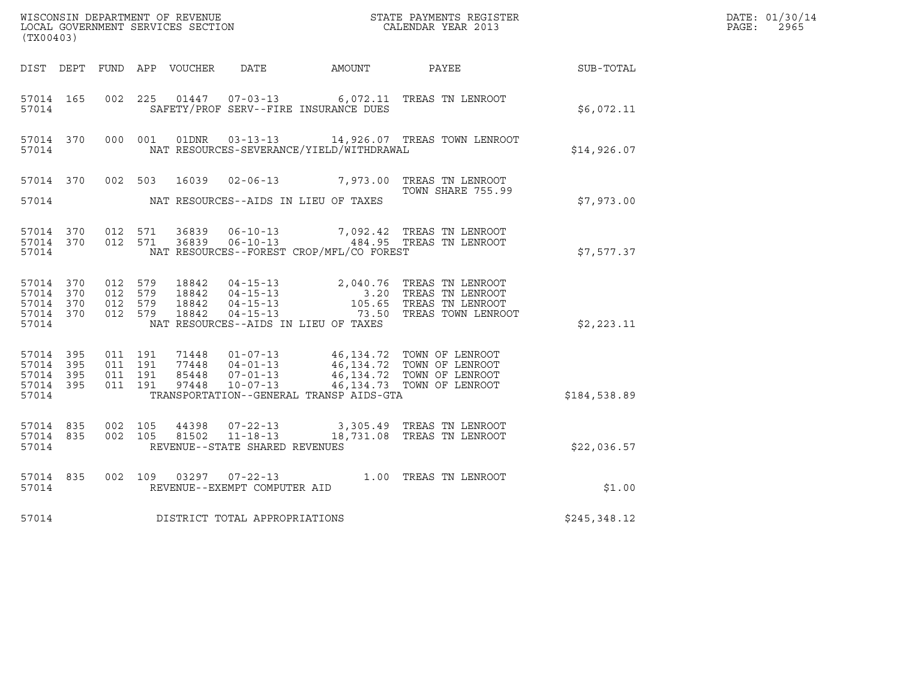| (TX00403)                                                 |           |                                          |         |                |                                                  |                                          | $\tt WISCONSIM DEPARTMENT OF REVENUE$ $\tt STATE$ PAYMENTS REGISTER LOCAL GOVERNMENT SERVICES SECTION $\tt CALENDAR$ YEAR 2013                                                                                |                  | DATE: 01/30/14<br>$\mathtt{PAGE}$ :<br>2965 |
|-----------------------------------------------------------|-----------|------------------------------------------|---------|----------------|--------------------------------------------------|------------------------------------------|---------------------------------------------------------------------------------------------------------------------------------------------------------------------------------------------------------------|------------------|---------------------------------------------|
|                                                           |           |                                          |         |                |                                                  | DIST DEPT FUND APP VOUCHER DATE AMOUNT   | PAYEE                                                                                                                                                                                                         | <b>SUB-TOTAL</b> |                                             |
| 57014 165<br>57014                                        |           | 002 225                                  |         |                |                                                  | SAFETY/PROF SERV--FIRE INSURANCE DUES    | 01447  07-03-13   6,072.11   TREAS TN LENROOT                                                                                                                                                                 | \$6,072.11       |                                             |
| 57014 370<br>57014                                        |           |                                          | 000 001 |                |                                                  | NAT RESOURCES-SEVERANCE/YIELD/WITHDRAWAL | 01DNR  03-13-13  14,926.07 TREAS TOWN LENROOT                                                                                                                                                                 | \$14,926.07      |                                             |
|                                                           |           |                                          |         |                |                                                  |                                          | 57014 370 002 503 16039 02-06-13 7,973.00 TREAS TN LENROOT<br>TOWN SHARE 755.99                                                                                                                               |                  |                                             |
| 57014                                                     |           |                                          |         |                |                                                  | NAT RESOURCES--AIDS IN LIEU OF TAXES     |                                                                                                                                                                                                               | \$7,973.00       |                                             |
| 57014 370<br>57014                                        | 57014 370 | 012 571<br>012 571                       |         | 36839          | $06 - 10 - 13$                                   | NAT RESOURCES--FOREST CROP/MFL/CO FOREST | 7,092.42 TREAS TN LENROOT<br>36839   06-10-13   484.95   TREAS TN LENROOT                                                                                                                                     | \$7,577.37       |                                             |
| 57014 370<br>57014 370<br>57014 370<br>57014 370<br>57014 |           | 012 579<br>012 579<br>012 579<br>012 579 |         |                |                                                  | NAT RESOURCES--AIDS IN LIEU OF TAXES     | 18842  04-15-13  2,040.76  TREAS TN LENROOT<br>18842  04-15-13  3.20  TREAS TN LENROOT<br>18842  04-15-13  105.65  TREAS TN LENROOT<br>18842  04-15-13  73.50  TREAS TOWN LENROOT<br>73.50 TREAS TOWN LENROOT | \$2,223.11       |                                             |
| 57014 395<br>57014 395<br>57014 395<br>57014 395<br>57014 |           | 011 191<br>011 191<br>011 191<br>011 191 |         | 97448          | $10 - 07 - 13$                                   | TRANSPORTATION--GENERAL TRANSP AIDS-GTA  | 71448  01-07-13  46,134.72  TOWN OF LENROOT<br>77448  04-01-13  46,134.72  TOWN OF LENROOT<br>85448  07-01-13  46,134.72  TOWN OF LENROOT<br>46,134.73 TOWN OF LENROOT                                        | \$184,538.89     |                                             |
| 57014 835<br>57014 835<br>57014                           |           | 002 105<br>002 105                       |         | 44398<br>81502 | $11 - 18 - 13$<br>REVENUE--STATE SHARED REVENUES |                                          | 07-22-13 3,305.49 TREAS TN LENROOT<br>18,731.08 TREAS TN LENROOT                                                                                                                                              | \$22,036.57      |                                             |
| 57014 835<br>57014                                        |           | 002 109                                  |         |                | 03297 07-22-13<br>REVENUE--EXEMPT COMPUTER AID   |                                          | 1.00 TREAS TN LENROOT                                                                                                                                                                                         | \$1.00           |                                             |
| 57014                                                     |           |                                          |         |                | DISTRICT TOTAL APPROPRIATIONS                    |                                          |                                                                                                                                                                                                               | \$245,348.12     |                                             |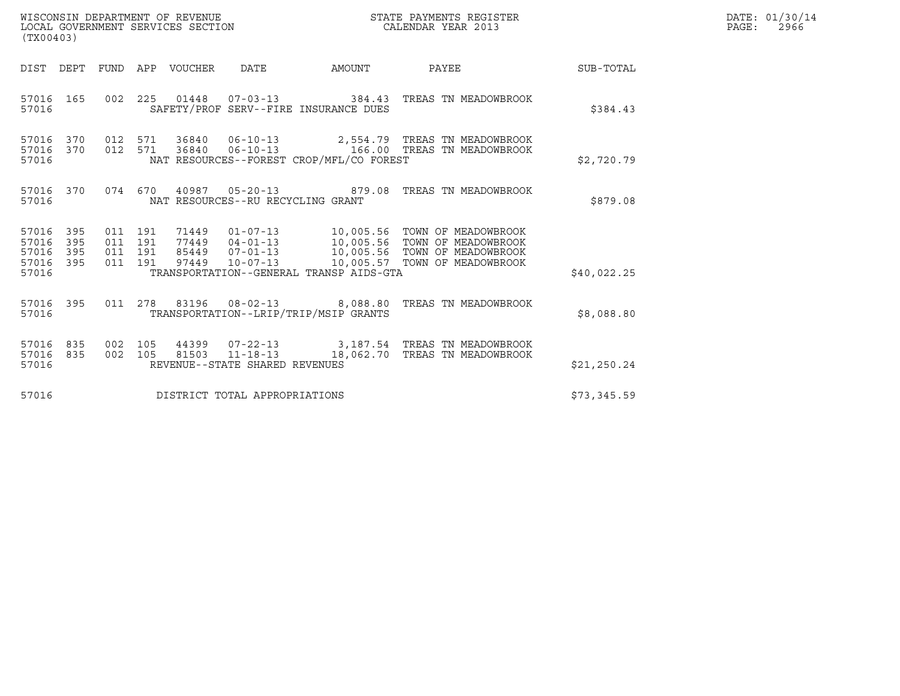| WISCONSIN DEPARTMENT OF REVENUE<br>LOCAL GOVERNMENT SERVICES SECTION | STATE PAYMENTS REGISTER<br>CALENDAR YEAR 2013 | DATE: 01/30/14<br>2966<br>PAGE: |
|----------------------------------------------------------------------|-----------------------------------------------|---------------------------------|

| (TX00403)                                                 |         |  |                                        |                                          |                                                                                                                                                                                                                              |             | DATE: 01/30/14<br>$\mathtt{PAGE:}$<br>2966 |
|-----------------------------------------------------------|---------|--|----------------------------------------|------------------------------------------|------------------------------------------------------------------------------------------------------------------------------------------------------------------------------------------------------------------------------|-------------|--------------------------------------------|
|                                                           |         |  | DIST DEPT FUND APP VOUCHER DATE AMOUNT |                                          | PAYEE                                                                                                                                                                                                                        | SUB-TOTAL   |                                            |
| 57016                                                     |         |  |                                        | SAFETY/PROF SERV--FIRE INSURANCE DUES    | 57016  165  002  225  01448  07-03-13  384.43  TREAS TN MEADOWBROOK                                                                                                                                                          | \$384.43    |                                            |
| 57016                                                     |         |  |                                        | NAT RESOURCES--FOREST CROP/MFL/CO FOREST | $\begin{array}{cccccc} 57016 & 370 & 012 & 571 & 36840 & 06-10-13 & & 2,554.79 & \text{TREAS TN MEADOWBROOK} \\ 57016 & 370 & 012 & 571 & 36840 & 06-10-13 & & 166.00 & \text{TREAS TN MEADOWBROOK} \end{array}$             | \$2,720.79  |                                            |
| 57016                                                     |         |  | NAT RESOURCES--RU RECYCLING GRANT      |                                          | 57016 370 074 670 40987 05-20-13 879.08 TREAS TN MEADOWBROOK                                                                                                                                                                 | \$879.08    |                                            |
| 57016 395<br>57016 395<br>57016 395<br>57016 395<br>57016 | 011 191 |  |                                        | TRANSPORTATION--GENERAL TRANSP AIDS-GTA  | 011 191 71449 01-07-13 10,005.56 TOWN OF MEADOWBROOK<br>011 191 77449 04-01-13 10,005.56 TOWN OF MEADOWBROOK<br>011 191 97449 10-07-13 10,005.56 TOWN OF MEADOWBROOK<br>011 191 97449 10-07-13 10,005.57 TOWN OF MEADOWBROOK | \$40,022.25 |                                            |
| 57016                                                     |         |  |                                        | TRANSPORTATION--LRIP/TRIP/MSIP GRANTS    | 57016 395 011 278 83196 08-02-13 8,088.80 TREAS TN MEADOWBROOK                                                                                                                                                               | \$8,088.80  |                                            |
| 57016 835<br>57016 835<br>57016                           |         |  | REVENUE--STATE SHARED REVENUES         |                                          | 002 105 44399 07-22-13 3,187.54 TREAS TN MEADOWBROOK<br>002 105 81503 11-18-13 18,062.70 TREAS TN MEADOWBROOK                                                                                                                | \$21,250.24 |                                            |
| 57016                                                     |         |  | DISTRICT TOTAL APPROPRIATIONS          |                                          |                                                                                                                                                                                                                              | \$73,345.59 |                                            |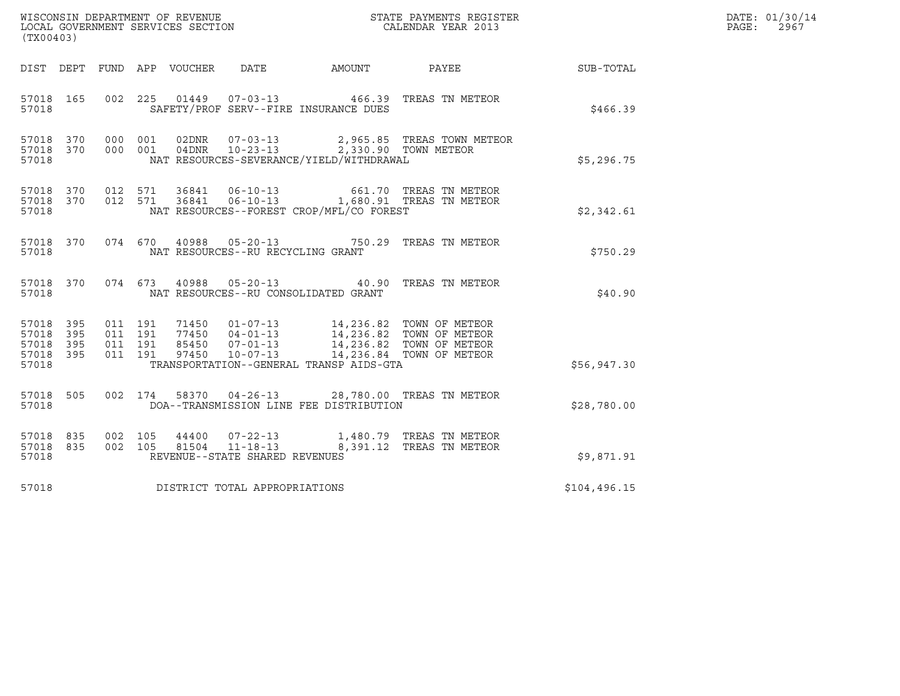| (TX00403)                                                 |                                          |         |                            |                                                  |                                          |                                                                      |               | DATE: 01/30/14<br>PAGE:<br>2967 |
|-----------------------------------------------------------|------------------------------------------|---------|----------------------------|--------------------------------------------------|------------------------------------------|----------------------------------------------------------------------|---------------|---------------------------------|
|                                                           |                                          |         | DIST DEPT FUND APP VOUCHER | DATE                                             | AMOUNT                                   | PAYEE                                                                | SUB-TOTAL     |                                 |
| 57018 165<br>57018                                        |                                          |         |                            |                                                  | SAFETY/PROF SERV--FIRE INSURANCE DUES    | 002  225  01449  07-03-13  466.39  TREAS TN METEOR                   | \$466.39      |                                 |
| 57018 370<br>57018 370<br>57018                           | 000 001<br>000 001                       |         |                            | 04DNR 10-23-13                                   | NAT RESOURCES-SEVERANCE/YIELD/WITHDRAWAL | 2,965.85 TREAS TOWN METEOR<br>2,330.90 TOWN METEOR                   | \$5,296.75    |                                 |
| 57018 370<br>57018                                        | 57018 370 012 571<br>012 571             |         |                            | 36841 06-10-13                                   | NAT RESOURCES--FOREST CROP/MFL/CO FOREST | 661.70 TREAS TN METEOR<br>36841  06-10-13  1,680.91  TREAS TN METEOR | \$2,342.61    |                                 |
| 57018 370<br>57018                                        |                                          |         |                            | NAT RESOURCES--RU RECYCLING GRANT                |                                          | 074 670 40988 05-20-13 750.29 TREAS TN METEOR                        | \$750.29      |                                 |
| 57018 370<br>57018                                        | 074 673                                  |         |                            |                                                  | NAT RESOURCES--RU CONSOLIDATED GRANT     | 40988  05-20-13  40.90  TREAS TN METEOR                              | \$40.90       |                                 |
| 57018 395<br>57018 395<br>57018 395<br>57018 395<br>57018 | 011 191<br>011 191<br>011 191<br>011 191 |         |                            |                                                  | TRANSPORTATION--GENERAL TRANSP AIDS-GTA  |                                                                      | \$56,947.30   |                                 |
| 57018 505<br>57018                                        |                                          | 002 174 |                            |                                                  | DOA--TRANSMISSION LINE FEE DISTRIBUTION  | 58370  04-26-13  28,780.00  TREAS TN METEOR                          | \$28,780.00   |                                 |
| 57018 835<br>57018 835<br>57018                           | 002 105<br>002 105                       |         | 44400<br>81504             | $11 - 18 - 13$<br>REVENUE--STATE SHARED REVENUES |                                          | 07-22-13 1,480.79 TREAS TN METEOR<br>8,391.12 TREAS TN METEOR        | \$9,871.91    |                                 |
| 57018                                                     |                                          |         |                            | DISTRICT TOTAL APPROPRIATIONS                    |                                          |                                                                      | \$104, 496.15 |                                 |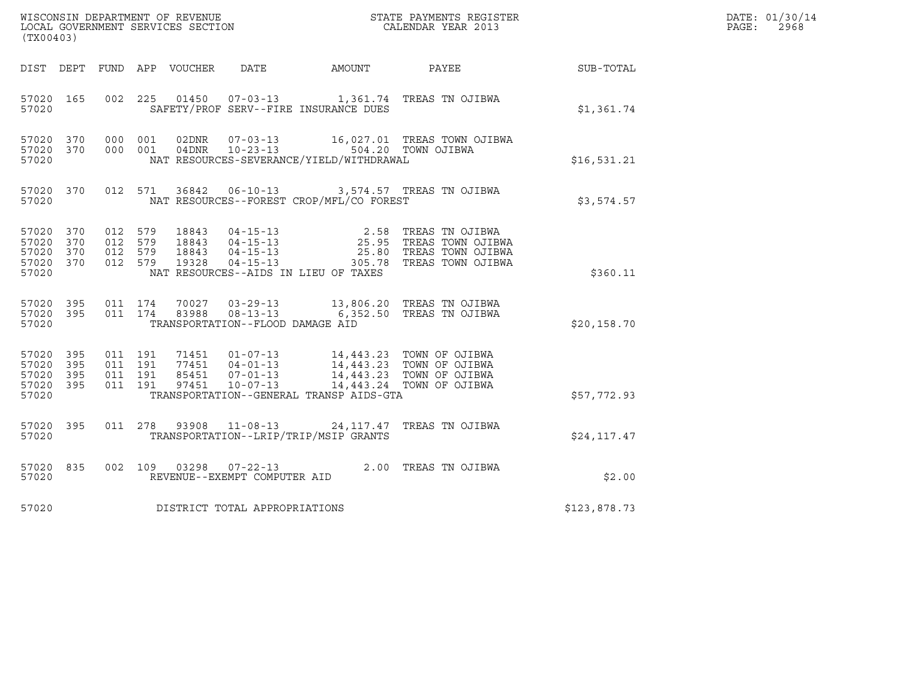| (TX00403)                                             |           |                                          |         |                       |                                                                |                                                                | WISCONSIN DEPARTMENT OF REVENUE<br>LOCAL GOVERNMENT SERVICES SECTION<br>CALENDAR YEAR 2013                                                                                           |              | DATE: 01/30/14<br>$\mathtt{PAGE}$ :<br>2968 |
|-------------------------------------------------------|-----------|------------------------------------------|---------|-----------------------|----------------------------------------------------------------|----------------------------------------------------------------|--------------------------------------------------------------------------------------------------------------------------------------------------------------------------------------|--------------|---------------------------------------------|
| DIST DEPT                                             |           |                                          |         | FUND APP VOUCHER DATE |                                                                | AMOUNT                                                         | PAYEE                                                                                                                                                                                | SUB-TOTAL    |                                             |
| 57020 165<br>57020                                    |           |                                          |         | 002 225 01450         |                                                                | SAFETY/PROF SERV--FIRE INSURANCE DUES                          | 07-03-13 1,361.74 TREAS TN OJIBWA                                                                                                                                                    | \$1,361.74   |                                             |
| 57020 370<br>57020 370<br>57020                       |           | 000 001<br>000 001                       |         | 02DNR                 | $07 - 03 - 13$<br>04DNR 10-23-13                               | 504.20 TOWN OJIBWA<br>NAT RESOURCES-SEVERANCE/YIELD/WITHDRAWAL | 16,027.01 TREAS TOWN OJIBWA                                                                                                                                                          | \$16,531.21  |                                             |
| 57020                                                 | 57020 370 |                                          | 012 571 |                       |                                                                | NAT RESOURCES--FOREST CROP/MFL/CO FOREST                       | 36842  06-10-13  3,574.57  TREAS TN OJIBWA                                                                                                                                           | \$3,574.57   |                                             |
| 57020 370<br>57020<br>57020 370<br>57020 370<br>57020 | 370       | 012<br>012 579<br>012 579<br>012 579     | 579     |                       |                                                                | NAT RESOURCES--AIDS IN LIEU OF TAXES                           | 2.58 TREAS TN OJIBWA<br>25.95 TREAS TOWN OJIBWA<br>25.80 TREAS TOWN OJIBWA<br>305.78 TREAS TOWN OJIBWA                                                                               | \$360.11     |                                             |
| 57020 395<br>57020                                    | 57020 395 | 011 174<br>011 174                       |         | 70027<br>83988        | 03-29-13<br>$08 - 13 - 13$<br>TRANSPORTATION--FLOOD DAMAGE AID |                                                                | 13,806.20 TREAS TN OJIBWA<br>6,352.50 TREAS TN OJIBWA                                                                                                                                | \$20,158.70  |                                             |
| 57020 395<br>57020<br>57020 395<br>57020 395<br>57020 | 395       | 011 191<br>011 191<br>011 191<br>011 191 |         | 97451                 | $10 - 07 - 13$                                                 | TRANSPORTATION--GENERAL TRANSP AIDS-GTA                        | 71451  01-07-13  14,443.23  TOWN OF OJIBWA<br>77451     04-01-13     14,443.23     TOWN OF OJIBWA<br>85451     07-01-13     14,443.23     TOWN OF OJIBWA<br>14,443.24 TOWN OF OJIBWA | \$57,772.93  |                                             |
| 57020 395<br>57020                                    |           | 011 278                                  |         | 93908                 |                                                                | TRANSPORTATION--LRIP/TRIP/MSIP GRANTS                          | 11-08-13 24, 117.47 TREAS TN OJIBWA                                                                                                                                                  | \$24, 117.47 |                                             |
| 57020 835<br>57020                                    |           | 002 109                                  |         | 03298                 | 07-22-13<br>REVENUE--EXEMPT COMPUTER AID                       |                                                                | 2.00 TREAS TN OJIBWA                                                                                                                                                                 | \$2.00       |                                             |
| 57020                                                 |           |                                          |         |                       | DISTRICT TOTAL APPROPRIATIONS                                  |                                                                |                                                                                                                                                                                      | \$123,878.73 |                                             |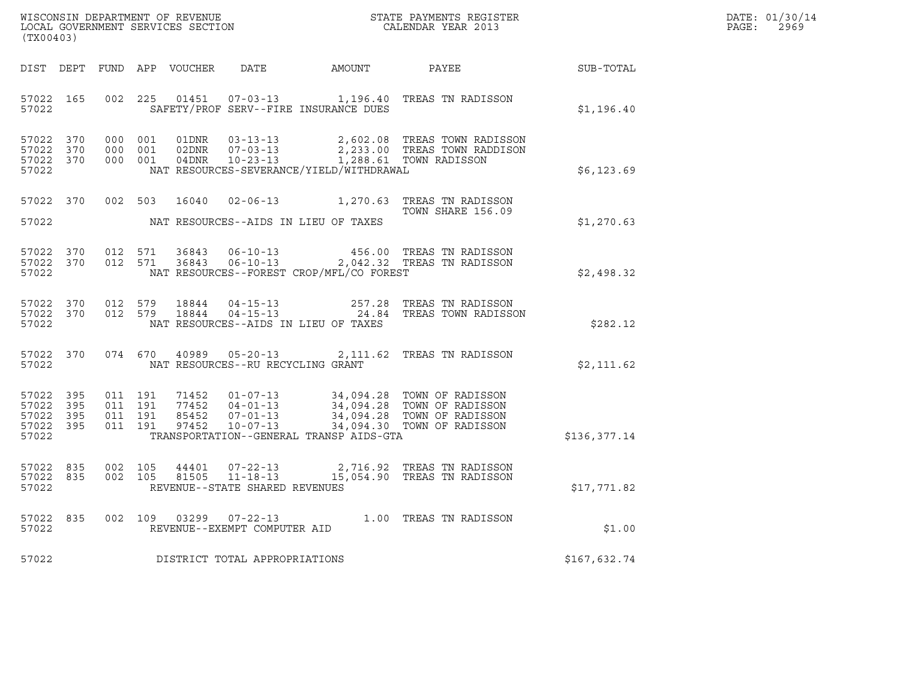| DATE: | 01/30/14 |
|-------|----------|
| PAGE: | 2969     |

| (TX00403)                                    |                                |         |                               |  |                                   |                                          |                                                                                                                                                                                                                      |              | DATE: 01/30/14<br>$\mathtt{PAGE:}$<br>2969 |
|----------------------------------------------|--------------------------------|---------|-------------------------------|--|-----------------------------------|------------------------------------------|----------------------------------------------------------------------------------------------------------------------------------------------------------------------------------------------------------------------|--------------|--------------------------------------------|
|                                              |                                |         |                               |  |                                   |                                          | DIST DEPT FUND APP VOUCHER DATE AMOUNT PAYEE TO SUB-TOTAL                                                                                                                                                            |              |                                            |
| 57022                                        | 57022 165                      |         |                               |  |                                   | SAFETY/PROF SERV--FIRE INSURANCE DUES    | 002 225 01451 07-03-13 1,196.40 TREAS TN RADISSON                                                                                                                                                                    | \$1,196.40   |                                            |
| 57022 370<br>57022 370<br>57022 370<br>57022 |                                |         | 000 001<br>000 001<br>000 001 |  |                                   | NAT RESOURCES-SEVERANCE/YIELD/WITHDRAWAL | 2,602.08 TREAS TOWN RADISSON<br>2,233.00 TREAS TOWN RADDISON                                                                                                                                                         | \$6,123.69   |                                            |
| 57022                                        |                                |         |                               |  |                                   | NAT RESOURCES--AIDS IN LIEU OF TAXES     | 57022 370 002 503 16040 02-06-13 1,270.63 TREAS TN RADISSON<br>TOWN SHARE 156.09                                                                                                                                     | \$1,270.63   |                                            |
| 57022                                        | 57022 370 012 571<br>57022 370 |         | 012 571                       |  |                                   | NAT RESOURCES--FOREST CROP/MFL/CO FOREST |                                                                                                                                                                                                                      | \$2,498.32   |                                            |
| 57022 370<br>57022                           | 57022 370                      |         | 012 579<br>012 579            |  |                                   | NAT RESOURCES--AIDS IN LIEU OF TAXES     | 18844   04-15-13   257.28   TREAS TN RADISSON<br>18844   04-15-13   24.84   TREAS TOWN RADISSON                                                                                                                      | \$282.12     |                                            |
| 57022                                        | 57022 370                      |         |                               |  | NAT RESOURCES--RU RECYCLING GRANT |                                          | 074 670 40989 05-20-13 2,111.62 TREAS TN RADISSON                                                                                                                                                                    | \$2,111.62   |                                            |
| 57022<br>57022 395<br>57022 395<br>57022     | 395<br>57022 395               | 011 191 | 011 191<br>011 191<br>011 191 |  |                                   | TRANSPORTATION--GENERAL TRANSP AIDS-GTA  | 71452    01-07-13    34,094.28    TOWN OF RADISSON<br>77452    04-01-13    34,094.28    TOWN OF RADISSON<br>85452    07-01-13    34,094.28    TOWN OF RADISSON<br>97452    10-07-13    34,094.30    TOWN OF RADISSON | \$136,377.14 |                                            |
| 57022 835<br>57022                           | 57022 835                      | 002 105 | 002 105                       |  | REVENUE--STATE SHARED REVENUES    |                                          | 44401  07-22-13  2,716.92 TREAS TN RADISSON<br>81505  11-18-13   15,054.90 TREAS TN RADISSON                                                                                                                         | \$17,771.82  |                                            |
| 57022<br>57022                               | 835                            |         |                               |  | REVENUE--EXEMPT COMPUTER AID      |                                          | 002 109 03299 07-22-13 1.00 TREAS TN RADISSON                                                                                                                                                                        | \$1.00       |                                            |
| 57022                                        |                                |         |                               |  | DISTRICT TOTAL APPROPRIATIONS     |                                          |                                                                                                                                                                                                                      | \$167,632.74 |                                            |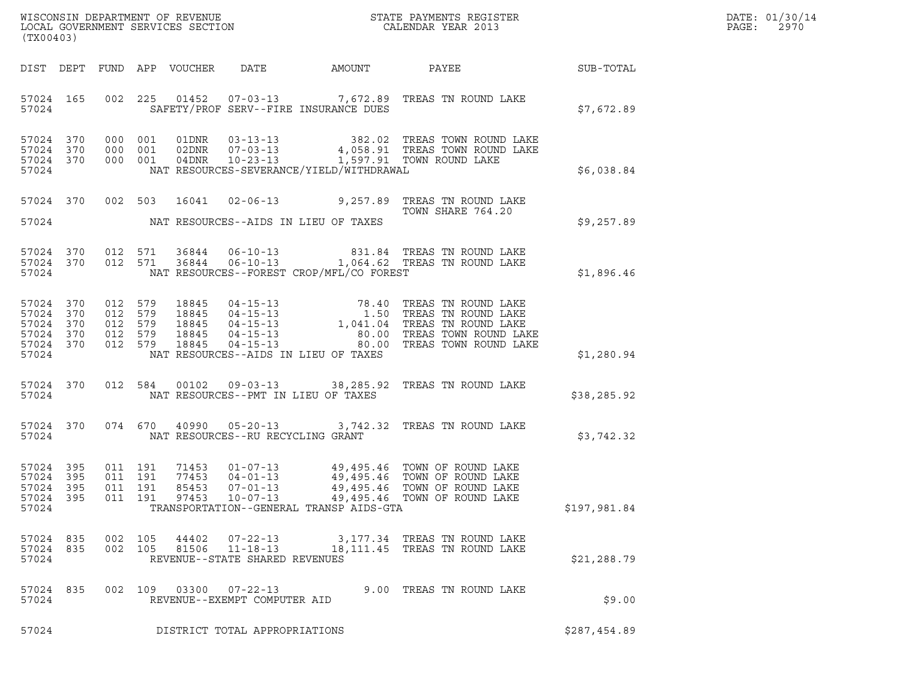| DATE: | 01/30/14 |
|-------|----------|
| PAGE: | 2970     |

| (TX00403)                                                              |  |  |                               |       |                                                        |                                            |                                                                                                                                                                                                                                       | R            | DATE: 01/30/14<br>$\mathtt{PAGE}$ :<br>2970 |
|------------------------------------------------------------------------|--|--|-------------------------------|-------|--------------------------------------------------------|--------------------------------------------|---------------------------------------------------------------------------------------------------------------------------------------------------------------------------------------------------------------------------------------|--------------|---------------------------------------------|
|                                                                        |  |  |                               |       |                                                        |                                            | DIST DEPT FUND APP VOUCHER DATE AMOUNT PAYEE TO SUB-TOTAL                                                                                                                                                                             |              |                                             |
| 57024                                                                  |  |  |                               |       |                                                        | SAFETY/PROF SERV--FIRE INSURANCE DUES      | 57024 165 002 225 01452 07-03-13 7,672.89 TREAS TN ROUND LAKE                                                                                                                                                                         | \$7,672.89   |                                             |
| 57024 370<br>57024 370<br>57024 370<br>57024                           |  |  |                               |       |                                                        | NAT RESOURCES-SEVERANCE/YIELD/WITHDRAWAL   | 000 001 01DNR 03-13-13 382.02 TREAS TOWN ROUND LAKE<br>000 001 02DNR 07-03-13 4,058.91 TREAS TOWN ROUND LAKE<br>000 001 04DNR 10-23-13 1,597.91 TOWN ROUND LAKE                                                                       | \$6,038.84   |                                             |
|                                                                        |  |  |                               |       |                                                        |                                            | 57024 370 002 503 16041 02-06-13 9,257.89 TREAS TN ROUND LAKE<br>TOWN SHARE 764.20                                                                                                                                                    |              |                                             |
|                                                                        |  |  |                               |       |                                                        | 57024 NAT RESOURCES--AIDS IN LIEU OF TAXES |                                                                                                                                                                                                                                       | \$9,257.89   |                                             |
| 57024 370<br>57024 370<br>57024                                        |  |  |                               |       |                                                        | NAT RESOURCES--FOREST CROP/MFL/CO FOREST   | 012 571 36844 06-10-13 831.84 TREAS TN ROUND LAKE 012 571 36844 06-10-13 1,064.62 TREAS TN ROUND LAKE                                                                                                                                 | \$1,896.46   |                                             |
| 57024 370<br>57024 370<br>57024 370<br>57024 370<br>57024 370<br>57024 |  |  |                               |       |                                                        | NAT RESOURCES--AIDS IN LIEU OF TAXES       | 012 579 18845 04-15-13 78.40 TREAS TN ROUND LAKE<br>012 579 18845 04-15-13 1,041.04 TREAS TN ROUND LAKE<br>012 579 18845 04-15-13 1,041.04 TREAS TN ROUND LAKE<br>012 579 18845 04-15-13 80.00 TREAS TOWN ROUND LAKE<br>012 579 18845 | \$1,280.94   |                                             |
| 57024                                                                  |  |  |                               |       |                                                        | NAT RESOURCES--PMT IN LIEU OF TAXES        | 57024 370 012 584 00102 09-03-13 38,285.92 TREAS TN ROUND LAKE                                                                                                                                                                        | \$38,285.92  |                                             |
| 57024                                                                  |  |  |                               |       |                                                        | NAT RESOURCES--RU RECYCLING GRANT          | 57024 370 074 670 40990 05-20-13 3,742.32 TREAS TN ROUND LAKE                                                                                                                                                                         | \$3,742.32   |                                             |
| 57024 395<br>57024 395<br>57024 395<br>57024 395<br>57024              |  |  | 011 191<br>011 191<br>011 191 |       |                                                        | TRANSPORTATION--GENERAL TRANSP AIDS-GTA    | 71453  01-07-13  49,495.46  TOWN OF ROUND LAKE<br>77453  04-01-13  49,495.46  TOWN OF ROUND LAKE<br>85453  07-01-13  49,495.46  TOWN OF ROUND LAKE<br>011 191 97453 10-07-13 49,495.46 TOWN OF ROUND LAKE                             | \$197,981.84 |                                             |
| 57024 835<br>57024 835<br>57024                                        |  |  | 002 105<br>002 105            | 44402 | REVENUE--STATE SHARED REVENUES                         |                                            | 07-22-13 3,177.34 TREAS TN ROUND LAKE<br>81506   11-18-13   18,111.45   TREAS TN ROUND LAKE                                                                                                                                           | \$21, 288.79 |                                             |
| 57024 835<br>57024                                                     |  |  |                               |       | 002 109 03300 07-22-13<br>REVENUE--EXEMPT COMPUTER AID |                                            | 9.00 TREAS TN ROUND LAKE                                                                                                                                                                                                              | \$9.00       |                                             |
| 57024                                                                  |  |  |                               |       | DISTRICT TOTAL APPROPRIATIONS                          |                                            |                                                                                                                                                                                                                                       | \$287,454.89 |                                             |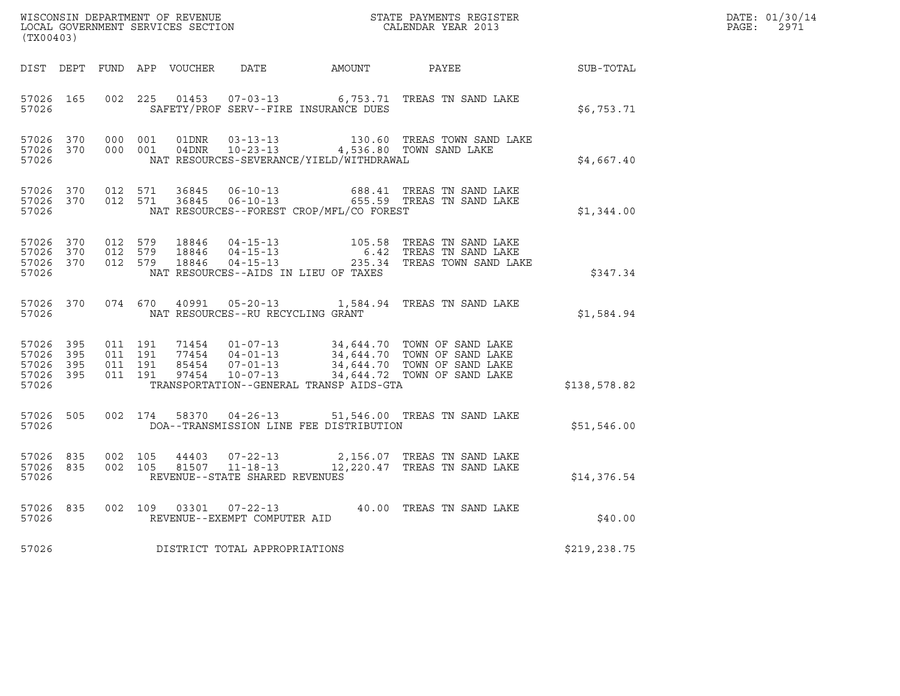| $\tt WISCONSIM DEPARTMENT OF REVENUE$ $\tt WISCONSIMENT$ SERVICES SECTION $\tt CALENDAR$ YEAR 2013<br>(TX00403) |  |                                        |                    |  |                                   |                                          |                                                                                                                                                                                                                          |               | DATE: 01/30/14<br>$\mathtt{PAGE:}$<br>2971 |
|-----------------------------------------------------------------------------------------------------------------|--|----------------------------------------|--------------------|--|-----------------------------------|------------------------------------------|--------------------------------------------------------------------------------------------------------------------------------------------------------------------------------------------------------------------------|---------------|--------------------------------------------|
|                                                                                                                 |  |                                        |                    |  |                                   |                                          | DIST DEPT FUND APP VOUCHER DATE AMOUNT PAYEE SUB-TOTAL                                                                                                                                                                   |               |                                            |
| 57026                                                                                                           |  |                                        |                    |  |                                   | SAFETY/PROF SERV--FIRE INSURANCE DUES    | 57026 165 002 225 01453 07-03-13 6,753.71 TREAS TN SAND LAKE                                                                                                                                                             | \$6,753.71    |                                            |
| 57026 370<br>57026                                                                                              |  | 57026 370 000 001                      | 000 001            |  |                                   | NAT RESOURCES-SEVERANCE/YIELD/WITHDRAWAL |                                                                                                                                                                                                                          | \$4,667.40    |                                            |
| 57026                                                                                                           |  | 57026 370 012 571<br>57026 370 012 571 |                    |  |                                   | NAT RESOURCES--FOREST CROP/MFL/CO FOREST | 36845   06-10-13   688.41   TREAS TN SAND LAKE   36845   06-10-13   655.59   TREAS TN SAND LAKE                                                                                                                          | \$1,344.00    |                                            |
| 57026 370<br>57026 370<br>57026 370<br>57026                                                                    |  |                                        |                    |  |                                   | NAT RESOURCES--AIDS IN LIEU OF TAXES     | 012 579 18846 04-15-13 105.58 TREAS TN SAND LAKE<br>012 579 18846 04-15-13 6.42 TREAS TN SAND LAKE<br>012 579 18846 04-15-13 235.34 TREAS TOWN SAND LAKE                                                                 | \$347.34      |                                            |
| 57026                                                                                                           |  |                                        |                    |  | NAT RESOURCES--RU RECYCLING GRANT |                                          | 57026 370 074 670 40991 05-20-13 1,584.94 TREAS TN SAND LAKE                                                                                                                                                             | \$1,584.94    |                                            |
| 57026 395<br>57026 395<br>57026 395<br>57026 395<br>57026                                                       |  | 011 191<br>011 191                     | 011 191<br>011 191 |  |                                   | TRANSPORTATION--GENERAL TRANSP AIDS-GTA  | 71454    01-07-13    34,644.70    TOWN OF SAND LAKE<br>77454    04-01-13    34,644.70    TOWN OF SAND LAKE<br>85454    07-01-13    34,644.70    TOWN OF SAND LAKE<br>97454    10-07-13    34,644.72    TOWN OF SAND LAKE | \$138,578.82  |                                            |
| 57026 505<br>57026                                                                                              |  |                                        |                    |  |                                   | DOA--TRANSMISSION LINE FEE DISTRIBUTION  | 002 174 58370 04-26-13 51,546.00 TREAS TN SAND LAKE                                                                                                                                                                      | \$51,546.00   |                                            |
| 57026 835<br>57026                                                                                              |  | 57026 835 002 105                      | 002 105            |  | REVENUE--STATE SHARED REVENUES    |                                          | 44403  07-22-13  2,156.07  TREAS TN SAND LAKE<br>81507  11-18-13   12,220.47  TREAS TN SAND LAKE                                                                                                                         | \$14,376.54   |                                            |
| 57026                                                                                                           |  |                                        |                    |  | REVENUE--EXEMPT COMPUTER AID      |                                          | 57026 835 002 109 03301 07-22-13 40.00 TREAS TN SAND LAKE                                                                                                                                                                | \$40.00       |                                            |
| 57026                                                                                                           |  |                                        |                    |  | DISTRICT TOTAL APPROPRIATIONS     |                                          |                                                                                                                                                                                                                          | \$219, 238.75 |                                            |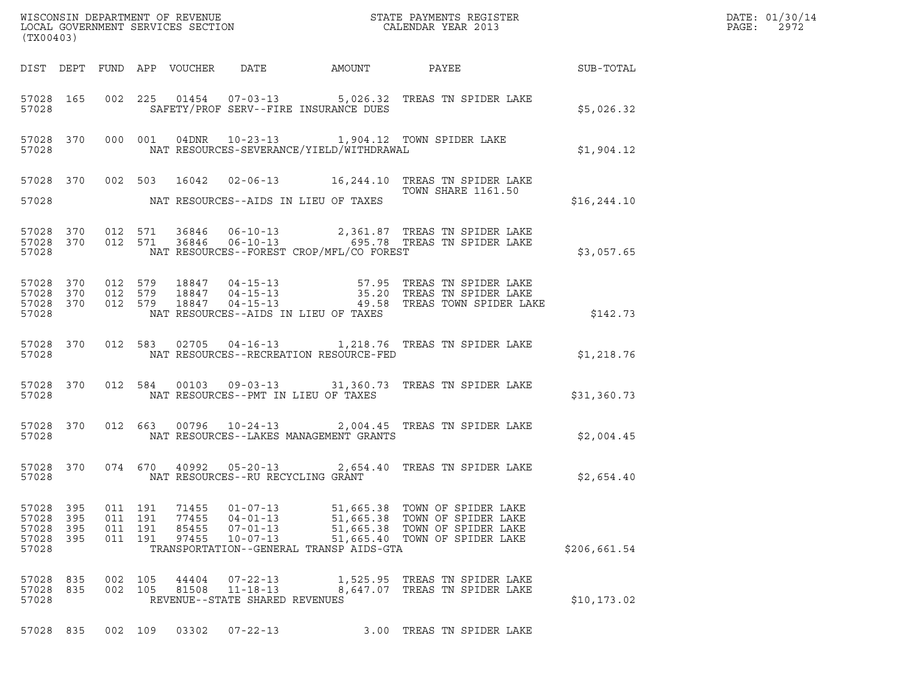| WISCONSIN DEPARTMENT OF REVENUE ${\small \begin{array}{ll} \texttt{MISCONS} \\ \texttt{LOCAL GOVERNMENT} \end{array}} {\small \begin{array}{ll} \texttt{GIVENTS} \\ \texttt{SICAL GOURRNMENT} \end{array}} {\small \begin{array}{ll} \texttt{STATE} \\ \texttt{CALENDAR} \end{array}} {\small \begin{array}{ll} \texttt{REGISTER} \\ \texttt{VELR} \end{array}}$<br>(TX00403) |              |                                          |     |                                  |                                                                                                                 |                                                                                                                                                                                             | $\mathcal{L}(\mathcal{L}^{\text{max}}_{\mathcal{L}^{\text{max}}_{\mathcal{L}^{\text{max}}_{\mathcal{L}^{\text{max}}_{\mathcal{L}^{\text{max}}_{\mathcal{L}^{\text{max}}_{\mathcal{L}^{\text{max}}_{\mathcal{L}^{\text{max}}_{\mathcal{L}^{\text{max}}_{\mathcal{L}^{\text{max}}_{\mathcal{L}^{\text{max}}_{\mathcal{L}^{\text{max}}_{\mathcal{L}^{\text{max}}_{\mathcal{L}^{\text{max}}_{\mathcal{L}^{\text{max}}_{\mathcal{L}^{\text{max}}_{\mathcal{L}$ | DATE: 01/30/14<br>$\mathtt{PAGE}$ :<br>2972 |
|-------------------------------------------------------------------------------------------------------------------------------------------------------------------------------------------------------------------------------------------------------------------------------------------------------------------------------------------------------------------------------|--------------|------------------------------------------|-----|----------------------------------|-----------------------------------------------------------------------------------------------------------------|---------------------------------------------------------------------------------------------------------------------------------------------------------------------------------------------|-----------------------------------------------------------------------------------------------------------------------------------------------------------------------------------------------------------------------------------------------------------------------------------------------------------------------------------------------------------------------------------------------------------------------------------------------------------|---------------------------------------------|
|                                                                                                                                                                                                                                                                                                                                                                               |              |                                          |     |                                  |                                                                                                                 | DIST DEPT FUND APP VOUCHER DATE AMOUNT PAYEE SUB-TOTAL                                                                                                                                      |                                                                                                                                                                                                                                                                                                                                                                                                                                                           |                                             |
| 57028                                                                                                                                                                                                                                                                                                                                                                         |              |                                          |     |                                  | SAFETY/PROF SERV--FIRE INSURANCE DUES                                                                           | 57028 165 002 225 01454 07-03-13 5,026.32 TREAS TN SPIDER LAKE                                                                                                                              | \$5,026.32                                                                                                                                                                                                                                                                                                                                                                                                                                                |                                             |
| 57028                                                                                                                                                                                                                                                                                                                                                                         |              |                                          |     |                                  |                                                                                                                 | 57028 370 000 001 04DNR 10-23-13 1,904.12 TOWN SPIDER LAKE<br>NAT RESOURCES-SEVERANCE/YIELD/WITHDRAWAL                                                                                      | \$1,904.12                                                                                                                                                                                                                                                                                                                                                                                                                                                |                                             |
|                                                                                                                                                                                                                                                                                                                                                                               |              |                                          |     |                                  |                                                                                                                 | 57028 370 002 503 16042 02-06-13 16,244.10 TREAS TN SPIDER LAKE<br>TOWN SHARE 1161.50                                                                                                       |                                                                                                                                                                                                                                                                                                                                                                                                                                                           |                                             |
|                                                                                                                                                                                                                                                                                                                                                                               |              |                                          |     |                                  | 57028 MAT RESOURCES--AIDS IN LIEU OF TAXES                                                                      |                                                                                                                                                                                             | \$16, 244.10                                                                                                                                                                                                                                                                                                                                                                                                                                              |                                             |
|                                                                                                                                                                                                                                                                                                                                                                               |              |                                          |     |                                  | 57028 NAT RESOURCES--FOREST CROP/MFL/CO FOREST                                                                  | 57028 370 012 571 36846 06-10-13 2,361.87 TREAS TN SPIDER LAKE 57028 370 012 571 36846 06-10-13 695.78 TREAS TN SPIDER LAKE                                                                 | \$3,057.65                                                                                                                                                                                                                                                                                                                                                                                                                                                |                                             |
| 57028                                                                                                                                                                                                                                                                                                                                                                         |              |                                          |     |                                  | NAT RESOURCES--AIDS IN LIEU OF TAXES                                                                            | 57028 370 012 579 18847 04-15-13 57.95 TREAS TN SPIDER LAKE<br>57028 370 012 579 18847 04-15-13 35.20 TREAS TN SPIDER LAKE<br>57028 370 012 579 18847 04-15-13 49.58 TREAS TOWN SPIDER LAKE | \$142.73                                                                                                                                                                                                                                                                                                                                                                                                                                                  |                                             |
| 57028                                                                                                                                                                                                                                                                                                                                                                         |              |                                          |     |                                  | NAT RESOURCES--RECREATION RESOURCE-FED                                                                          | 57028 370 012 583 02705 04-16-13 1,218.76 TREAS TN SPIDER LAKE                                                                                                                              | \$1,218.76                                                                                                                                                                                                                                                                                                                                                                                                                                                |                                             |
| 57028                                                                                                                                                                                                                                                                                                                                                                         |              |                                          |     |                                  | NAT RESOURCES--PMT IN LIEU OF TAXES                                                                             | 57028 370 012 584 00103 09-03-13 31,360.73 TREAS TN SPIDER LAKE                                                                                                                             | \$31,360.73                                                                                                                                                                                                                                                                                                                                                                                                                                               |                                             |
| 57028                                                                                                                                                                                                                                                                                                                                                                         |              |                                          |     |                                  | NAT RESOURCES--LAKES MANAGEMENT GRANTS                                                                          | 57028 370 012 663 00796 10-24-13 2,004.45 TREAS TN SPIDER LAKE                                                                                                                              | \$2,004.45                                                                                                                                                                                                                                                                                                                                                                                                                                                |                                             |
| 57028                                                                                                                                                                                                                                                                                                                                                                         | 57028 370    |                                          |     |                                  | NAT RESOURCES--RU RECYCLING GRANT                                                                               | 074 670 40992 05-20-13 2,654.40 TREAS TN SPIDER LAKE                                                                                                                                        | \$2,654.40                                                                                                                                                                                                                                                                                                                                                                                                                                                |                                             |
| 57028 395<br>57028<br>57028<br>57028 395<br>57028                                                                                                                                                                                                                                                                                                                             | 395<br>- 395 | 011 191<br>011 191<br>011 191<br>011 191 |     | 71455<br>77455<br>85455<br>97455 | $01 - 07 - 13$<br>$04 - 01 - 13$<br>$07 - 01 - 13$<br>$10 - 07 - 13$<br>TRANSPORTATION--GENERAL TRANSP AIDS-GTA | 51,665.38 TOWN OF SPIDER LAKE<br>51,665.38 TOWN OF SPIDER LAKE<br>51,665.38 TOWN OF SPIDER LAKE<br>51,665.40 TOWN OF SPIDER LAKE                                                            | \$206,661.54                                                                                                                                                                                                                                                                                                                                                                                                                                              |                                             |
| 57028<br>57028 835<br>57028                                                                                                                                                                                                                                                                                                                                                   | 835          | 002<br>002 105                           | 105 | 44404<br>81508                   | $07 - 22 - 13$<br>$11 - 18 - 13$<br>REVENUE--STATE SHARED REVENUES                                              | 1,525.95 TREAS TN SPIDER LAKE<br>8,647.07 TREAS TN SPIDER LAKE                                                                                                                              | \$10, 173.02                                                                                                                                                                                                                                                                                                                                                                                                                                              |                                             |
| 57028 835                                                                                                                                                                                                                                                                                                                                                                     |              | 002 109                                  |     | 03302                            | $07 - 22 - 13$                                                                                                  | 3.00 TREAS TN SPIDER LAKE                                                                                                                                                                   |                                                                                                                                                                                                                                                                                                                                                                                                                                                           |                                             |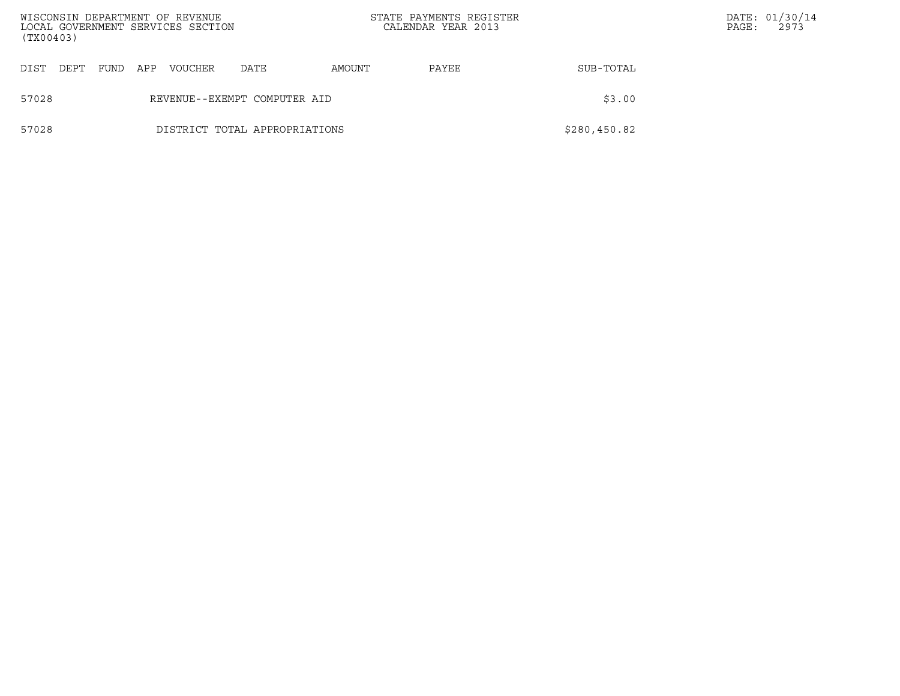| (TX00403) |      |      |     | WISCONSIN DEPARTMENT OF REVENUE<br>LOCAL GOVERNMENT SERVICES SECTION |                               | STATE PAYMENTS REGISTER<br>CALENDAR YEAR 2013 |       |              | PAGE: | DATE: 01/30/14<br>2973 |
|-----------|------|------|-----|----------------------------------------------------------------------|-------------------------------|-----------------------------------------------|-------|--------------|-------|------------------------|
| DIST      | DEPT | FUND | APP | <b>VOUCHER</b>                                                       | DATE                          | AMOUNT                                        | PAYEE | SUB-TOTAL    |       |                        |
| 57028     |      |      |     |                                                                      | REVENUE--EXEMPT COMPUTER AID  |                                               |       | \$3.00       |       |                        |
| 57028     |      |      |     |                                                                      | DISTRICT TOTAL APPROPRIATIONS |                                               |       | \$280,450.82 |       |                        |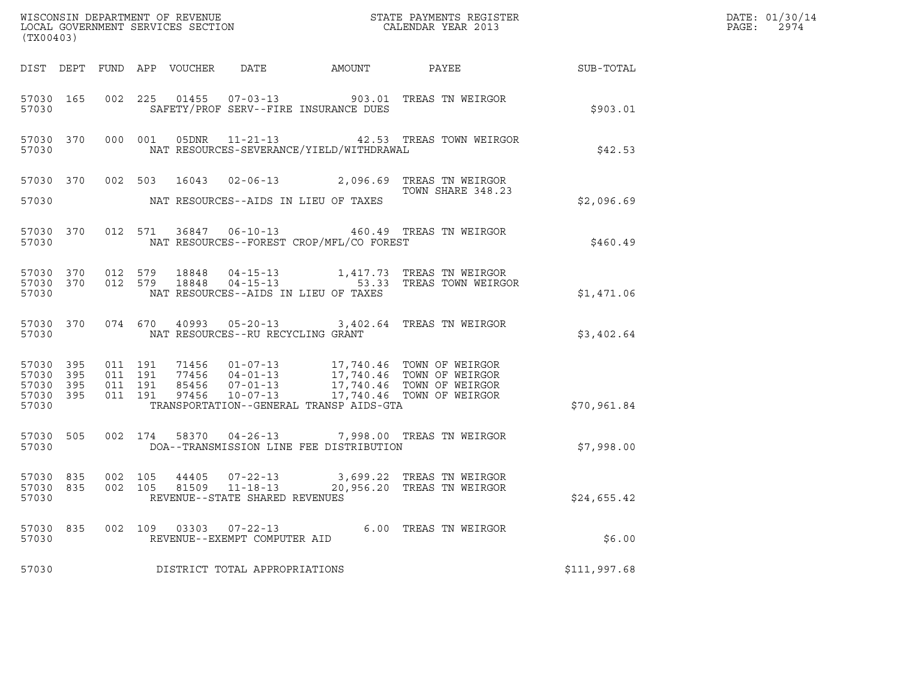| (TX00403)                                    |           |                    |  |               |                                                |                                                |                                                                                                                                                                                                              |              | DATE: 01/30/14<br>$\mathtt{PAGE:}$<br>2974 |
|----------------------------------------------|-----------|--------------------|--|---------------|------------------------------------------------|------------------------------------------------|--------------------------------------------------------------------------------------------------------------------------------------------------------------------------------------------------------------|--------------|--------------------------------------------|
|                                              |           |                    |  |               |                                                |                                                | DIST DEPT FUND APP VOUCHER DATE AMOUNT PAYEE SUB-TOTAL                                                                                                                                                       |              |                                            |
| 57030                                        |           |                    |  |               |                                                | SAFETY/PROF SERV--FIRE INSURANCE DUES          | 57030 165 002 225 01455 07-03-13 903.01 TREAS TN WEIRGOR                                                                                                                                                     | \$903.01     |                                            |
| 57030                                        |           |                    |  |               |                                                | NAT RESOURCES-SEVERANCE/YIELD/WITHDRAWAL       | 57030 370 000 001 05DNR 11-21-13 42.53 TREAS TOWN WEIRGOR                                                                                                                                                    | \$42.53      |                                            |
|                                              |           |                    |  |               |                                                |                                                | 57030 370 002 503 16043 02-06-13 2,096.69 TREAS TN WEIRGOR<br>TOWN SHARE 348.23                                                                                                                              |              |                                            |
|                                              |           |                    |  |               |                                                | 57030 MAT RESOURCES--AIDS IN LIEU OF TAXES     | TOWN SHARE 348.23                                                                                                                                                                                            | \$2,096.69   |                                            |
|                                              |           |                    |  |               |                                                | 57030 NAT RESOURCES--FOREST CROP/MFL/CO FOREST | 57030 370 012 571 36847 06-10-13 460.49 TREAS TN WEIRGOR                                                                                                                                                     | \$460.49     |                                            |
| 57030                                        |           |                    |  |               |                                                | NAT RESOURCES--AIDS IN LIEU OF TAXES           | 57030 370 012 579 18848 04-15-13 1,417.73 TREAS TN WEIRGOR<br>57030 370 012 579 18848 04-15-13 53.33 TREAS TOWN WEIRGOR                                                                                      | \$1,471.06   |                                            |
|                                              |           |                    |  |               | 57030 NAT RESOURCES--RU RECYCLING GRANT        |                                                | 57030 370 074 670 40993 05-20-13 3,402.64 TREAS TN WEIRGOR                                                                                                                                                   | \$3,402.64   |                                            |
| 57030 395<br>57030 395<br>57030 395<br>57030 | 57030 395 |                    |  |               |                                                | TRANSPORTATION--GENERAL TRANSP AIDS-GTA        | 011 191 71456 01-07-13 17,740.46 TOWN OF WEIRGOR<br>011 191 77456 04-01-13 17,740.46 TOWN OF WEIRGOR<br>011 191 97456 07-01-13 17,740.46 TOWN OF WEIRGOR<br>011 191 97456 10-07-13 17,740.46 TOWN OF WEIRGOR | \$70,961.84  |                                            |
|                                              |           |                    |  |               |                                                | 57030 DOA--TRANSMISSION LINE FEE DISTRIBUTION  | 57030 505 002 174 58370 04-26-13 7,998.00 TREAS TN WEIRGOR                                                                                                                                                   | \$7,998.00   |                                            |
| 57030 835<br>57030 835<br>57030              |           | 002 105<br>002 105 |  |               | REVENUE--STATE SHARED REVENUES                 |                                                | 44405  07-22-13  3,699.22  TREAS TN WEIRGOR<br>81509  11-18-13  20,956.20  TREAS TN WEIRGOR                                                                                                                  | \$24,655.42  |                                            |
| 57030 835<br>57030                           |           |                    |  | 002 109 03303 | $07 - 22 - 13$<br>REVENUE--EXEMPT COMPUTER AID |                                                | 6.00 TREAS TN WEIRGOR                                                                                                                                                                                        | \$6.00       |                                            |
| 57030                                        |           |                    |  |               | DISTRICT TOTAL APPROPRIATIONS                  |                                                |                                                                                                                                                                                                              | \$111,997.68 |                                            |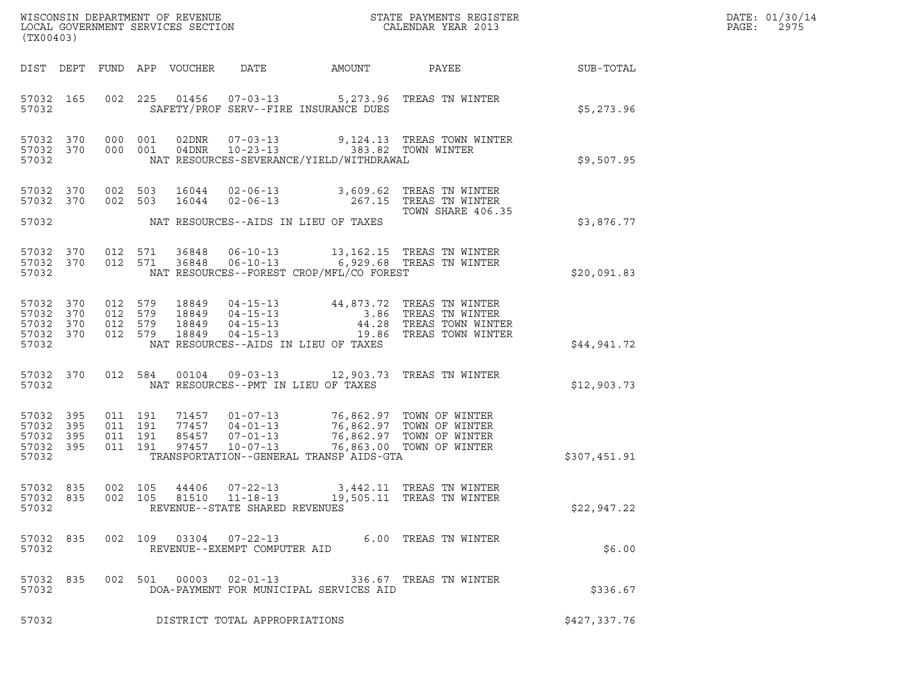| DATE: | 01/30/14 |
|-------|----------|
| PAGE: | 2975     |

| (TX00403)                                             |            |         |                                          |                            |                                                        |                                                                                                                                     |                                                                                                                                                                                                                                                                                                                                         |              | DATE: 01/30/14<br>PAGE:<br>2975 |
|-------------------------------------------------------|------------|---------|------------------------------------------|----------------------------|--------------------------------------------------------|-------------------------------------------------------------------------------------------------------------------------------------|-----------------------------------------------------------------------------------------------------------------------------------------------------------------------------------------------------------------------------------------------------------------------------------------------------------------------------------------|--------------|---------------------------------|
|                                                       |            |         |                                          | DIST DEPT FUND APP VOUCHER | DATE                                                   | AMOUNT                                                                                                                              | PAYEE                                                                                                                                                                                                                                                                                                                                   | SUB-TOTAL    |                                 |
| 57032 165<br>57032                                    |            |         |                                          |                            |                                                        | SAFETY/PROF SERV--FIRE INSURANCE DUES                                                                                               | 002 225 01456 07-03-13 5,273.96 TREAS TN WINTER                                                                                                                                                                                                                                                                                         | \$5,273.96   |                                 |
| 57032 370<br>57032 370<br>57032                       |            |         | 000 001<br>000 001                       |                            |                                                        | NAT RESOURCES-SEVERANCE/YIELD/WITHDRAWAL                                                                                            | $02\text{DNR} \qquad 07-03-13 \qquad \qquad 9,124.13 \qquad \text{TREAS} \qquad \text{TOMN WINTER}$<br>$04\text{DNR} \qquad 10-23-13 \qquad \qquad 383.82 \qquad \text{TOWN WINTER}$                                                                                                                                                    | \$9,507.95   |                                 |
| 57032 370<br>57032 370                                |            |         | 002 503<br>002 503                       |                            | $16044$ $02 - 06 - 13$                                 |                                                                                                                                     | 16044  02-06-13  3,609.62  TREAS TN WINTER<br>267.15   TREAS  TN  WINTER<br>TOWN SHARE 406.35                                                                                                                                                                                                                                           |              |                                 |
| 57032                                                 |            |         |                                          |                            |                                                        | NAT RESOURCES--AIDS IN LIEU OF TAXES                                                                                                |                                                                                                                                                                                                                                                                                                                                         | \$3,876.77   |                                 |
| 57032 370<br>57032 370<br>57032                       |            |         |                                          |                            |                                                        | NAT RESOURCES--FOREST CROP/MFL/CO FOREST                                                                                            | 012 571 36848 06-10-13 13,162.15 TREAS TN WINTER<br>012 571 36848 06-10-13 6,929.68 TREAS TN WINTER                                                                                                                                                                                                                                     | \$20,091.83  |                                 |
| 57032 370<br>57032<br>57032 370<br>57032 370<br>57032 | 370        |         |                                          |                            |                                                        | NAT RESOURCES--AIDS IN LIEU OF TAXES                                                                                                | $\begin{array}{cccc} 012 & 579 & 18849 & 04\texttt{-}15\texttt{-}13 \\ 012 & 579 & 18849 & 04\texttt{-}15\texttt{-}13 \\ 012 & 579 & 18849 & 04\texttt{-}15\texttt{-}13 \\ 012 & 579 & 18849 & 04\texttt{-}15\texttt{-}13 \\ 012 & 579 & 18849 & 04\texttt{-}15\texttt{-}13 \\ 012 & 579 & 18849 & 04\texttt{-}15\texttt{-}13 \\ \end{$ | \$44,941.72  |                                 |
| 57032 370<br>57032                                    |            | 012 584 |                                          |                            |                                                        | NAT RESOURCES--PMT IN LIEU OF TAXES                                                                                                 | 00104  09-03-13  12,903.73  TREAS TN WINTER                                                                                                                                                                                                                                                                                             | \$12,903.73  |                                 |
| 57032<br>57032 395<br>57032<br>57032 395<br>57032     | 395<br>395 |         | 011 191<br>011 191<br>011 191<br>011 191 | 97457                      | 77457 04-01-13<br>$10 - 07 - 13$                       | 71457  01-07-13  76,862.97  TOWN OF WINTER<br>77457  04-01-13  76,862.97  TOWN OF WINTER<br>TRANSPORTATION--GENERAL TRANSP AIDS-GTA | 85457 07-01-13 76,862.97 TOWN OF WINTER<br>76,863.00 TOWN OF WINTER                                                                                                                                                                                                                                                                     | \$307,451.91 |                                 |
| 57032 835<br>57032                                    |            |         | 002 105                                  | 44406                      | $07 - 22 - 13$<br>REVENUE--STATE SHARED REVENUES       |                                                                                                                                     | 3,442.11 TREAS TN WINTER<br>57032 835 002 105 81510 11-18-13 19,505.11 TREAS TN WINTER                                                                                                                                                                                                                                                  | \$22,947.22  |                                 |
| 57032 835<br>57032                                    |            |         |                                          |                            | 002 109 03304 07-22-13<br>REVENUE--EXEMPT COMPUTER AID |                                                                                                                                     | 6.00 TREAS TN WINTER                                                                                                                                                                                                                                                                                                                    | \$6.00       |                                 |
| 57032 835<br>57032                                    |            |         |                                          |                            |                                                        | DOA-PAYMENT FOR MUNICIPAL SERVICES AID                                                                                              | 002 501 00003 02-01-13 336.67 TREAS TN WINTER                                                                                                                                                                                                                                                                                           | \$336.67     |                                 |
| 57032                                                 |            |         |                                          |                            | DISTRICT TOTAL APPROPRIATIONS                          |                                                                                                                                     |                                                                                                                                                                                                                                                                                                                                         | \$427,337.76 |                                 |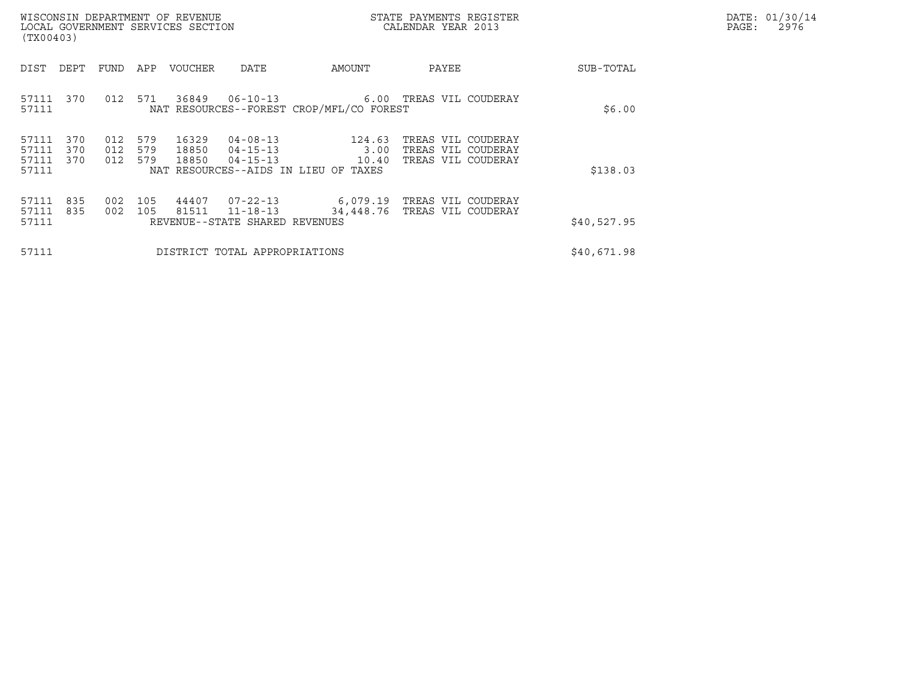| DATE: | 01/30/14 |
|-------|----------|
| PAGE: | 2976     |

| WISCONSIN DEPARTMENT OF REVENUE<br>LOCAL GOVERNMENT SERVICES SECTION<br>(TX00403)                                                                                                                      |                                        | STATE PAYMENTS REGISTER<br>CALENDAR YEAR 2013                  |             | DATE: 01/30/14<br>$\mathtt{PAGE}$ :<br>2976 |
|--------------------------------------------------------------------------------------------------------------------------------------------------------------------------------------------------------|----------------------------------------|----------------------------------------------------------------|-------------|---------------------------------------------|
| DIST<br>DEPT<br>APP<br>VOUCHER<br>DATE<br>FUND                                                                                                                                                         | AMOUNT                                 | PAYEE                                                          | SUB-TOTAL   |                                             |
| 571<br>36849<br>57111<br>370<br>012<br>NAT RESOURCES--FOREST CROP/MFL/CO FOREST<br>57111                                                                                                               |                                        | 06-10-13    6.00 TREAS VIL COUDERAY                            | \$6.00      |                                             |
| 370<br>579<br>16329<br>57111<br>012<br>57111<br>012<br>579<br>18850<br>370<br>$04 - 15 - 13$<br>57111<br>579<br>370<br>012<br>18850<br>$04 - 15 - 13$<br>57111<br>NAT RESOURCES--AIDS IN LIEU OF TAXES | $04 - 08 - 13$ 124.63<br>3.00<br>10.40 | TREAS VIL COUDERAY<br>TREAS VIL COUDERAY<br>TREAS VIL COUDERAY | \$138.03    |                                             |
| 44407<br>835<br>105<br>07-22-13<br>57111<br>002<br>57111<br>835<br>105<br>81511<br>$11 - 18 - 13$<br>002<br>57111<br>REVENUE--STATE SHARED REVENUES                                                    | 34,448.76                              | 6,079.19 TREAS VIL COUDERAY<br>TREAS VIL COUDERAY              | \$40,527.95 |                                             |
| DISTRICT TOTAL APPROPRIATIONS<br>57111                                                                                                                                                                 |                                        |                                                                | \$40,671.98 |                                             |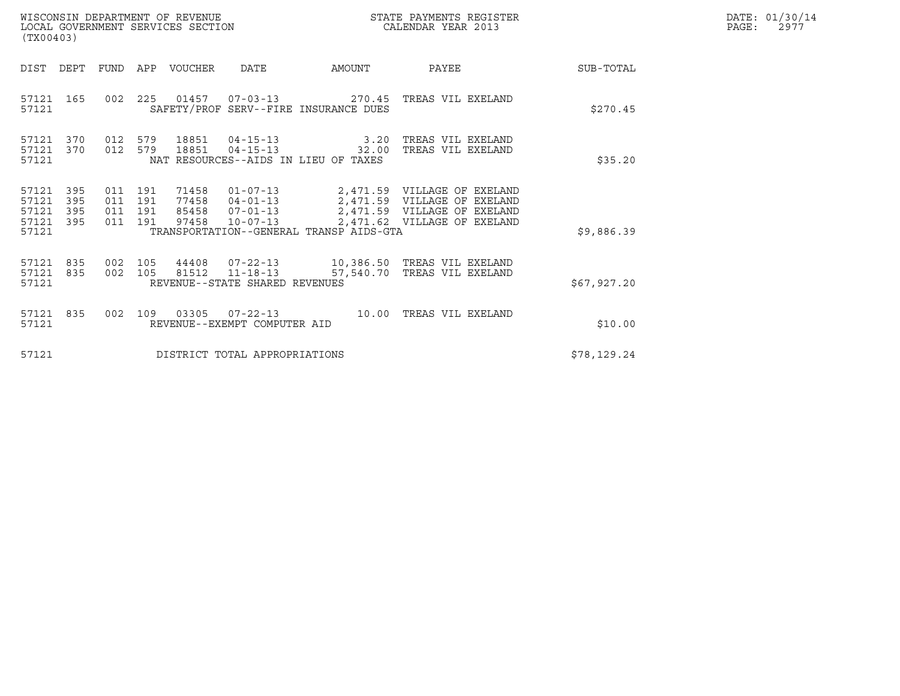| WISCONSIN DEPARTMENT OF REVENUE<br>LOCAL GOVERNMENT SERVICES SECTION<br>(TX00403) |                    |                               |                  |                                |                                                                                     | STATE PAYMENTS REGISTER<br>CALENDAR YEAR 2013                                                                                                                                  |             | DATE: 01/30/14<br>$\mathtt{PAGE:}$<br>2977 |
|-----------------------------------------------------------------------------------|--------------------|-------------------------------|------------------|--------------------------------|-------------------------------------------------------------------------------------|--------------------------------------------------------------------------------------------------------------------------------------------------------------------------------|-------------|--------------------------------------------|
| DIST DEPT                                                                         |                    |                               | FUND APP VOUCHER | DATE                           | AMOUNT                                                                              | PAYEE                                                                                                                                                                          | SUB-TOTAL   |                                            |
| 57121 165<br>57121                                                                |                    |                               |                  |                                | SAFETY/PROF SERV--FIRE INSURANCE DUES                                               | 002  225  01457  07-03-13  270.45  TREAS VIL EXELAND                                                                                                                           | \$270.45    |                                            |
| 57121 370<br>57121 370<br>57121                                                   | 012 579<br>012 579 |                               | 18851            |                                | 18851 04-15-13 3.20<br>$04 - 15 - 13$ 32.00<br>NAT RESOURCES--AIDS IN LIEU OF TAXES | TREAS VIL EXELAND<br>TREAS VIL EXELAND                                                                                                                                         | \$35.20     |                                            |
| 57121 395<br>57121<br>395<br>57121<br>395<br>57121 395<br>57121                   | 011 191            | 011 191<br>011 191<br>011 191 | 71458<br>97458   |                                | TRANSPORTATION--GENERAL TRANSP AIDS-GTA                                             | 01-07-13 2,471.59 VILLAGE OF EXELAND<br>77458  04-01-13  2,471.59  VILLAGE OF EXELAND<br>85458  07-01-13  2,471.59  VILLAGE OF EXELAND<br>10-07-13 2,471.62 VILLAGE OF EXELAND | \$9,886.39  |                                            |
| 57121 835<br>57121 835<br>57121                                                   | 002 105<br>002 105 |                               |                  | REVENUE--STATE SHARED REVENUES |                                                                                     | 81512   11-18-13   57,540.70   TREAS VIL EXELAND                                                                                                                               | \$67,927.20 |                                            |
| 57121 835<br>57121                                                                |                    | 002 109                       |                  | REVENUE--EXEMPT COMPUTER AID   |                                                                                     |                                                                                                                                                                                | \$10.00     |                                            |
| 57121                                                                             |                    |                               |                  | DISTRICT TOTAL APPROPRIATIONS  |                                                                                     |                                                                                                                                                                                | \$78,129.24 |                                            |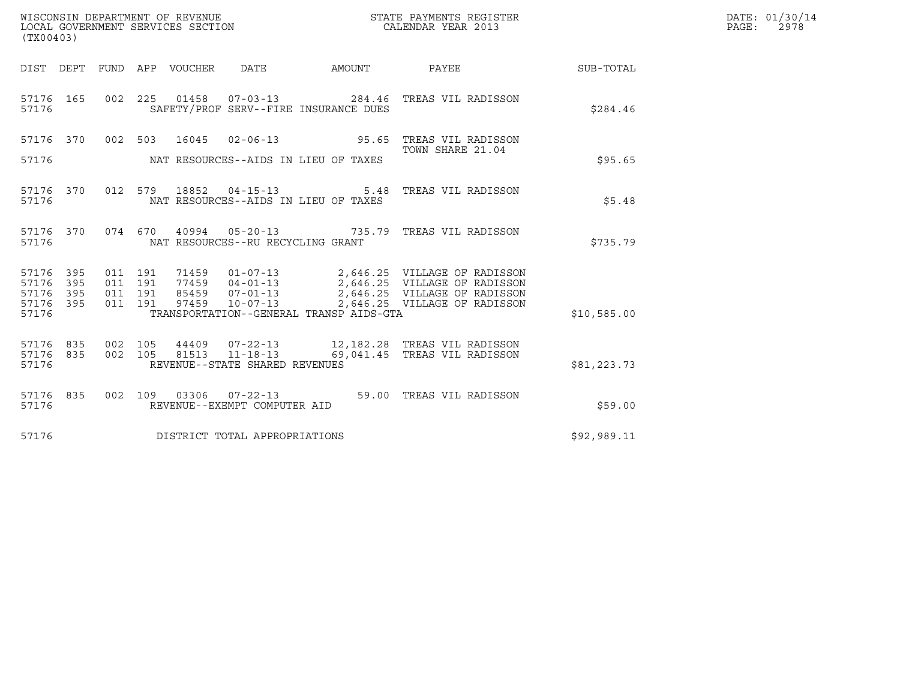| WISCONSIN DEPARTMENT OF REVENUE<br>LOCAL GOVERNMENT SERVICES SECTION<br>(TX00403) |                          |                                          |  |                                 |                                                                    |                                                                  | STATE PAYMENTS REGISTER<br>CALENDAR YEAR 2013                                                                                                                             | DATE: 01/30/14<br>$\mathtt{PAGE}$ :<br>2978 |  |
|-----------------------------------------------------------------------------------|--------------------------|------------------------------------------|--|---------------------------------|--------------------------------------------------------------------|------------------------------------------------------------------|---------------------------------------------------------------------------------------------------------------------------------------------------------------------------|---------------------------------------------|--|
|                                                                                   |                          |                                          |  | DIST DEPT FUND APP VOUCHER DATE |                                                                    | AMOUNT                                                           | <b>PAYEE</b>                                                                                                                                                              | SUB-TOTAL                                   |  |
| 57176 165<br>57176                                                                |                          | 002 225                                  |  |                                 |                                                                    | 01458  07-03-13  284.46<br>SAFETY/PROF SERV--FIRE INSURANCE DUES | TREAS VIL RADISSON                                                                                                                                                        | \$284.46                                    |  |
| 57176 370<br>57176                                                                |                          |                                          |  |                                 |                                                                    | NAT RESOURCES--AIDS IN LIEU OF TAXES                             | 002 503 16045 02-06-13 95.65 TREAS VIL RADISSON<br>TOWN SHARE 21.04                                                                                                       | \$95.65                                     |  |
| 57176 370<br>57176                                                                |                          |                                          |  | 012 579 18852                   | $04 - 15 - 13$                                                     | NAT RESOURCES--AIDS IN LIEU OF TAXES                             | 5.48 TREAS VIL RADISSON                                                                                                                                                   | \$5.48                                      |  |
| 57176 370<br>57176                                                                |                          |                                          |  |                                 | NAT RESOURCES--RU RECYCLING GRANT                                  |                                                                  | 074  670  40994  05-20-13  735.79  TREAS VIL RADISSON                                                                                                                     | \$735.79                                    |  |
| 57176<br>57176<br>57176<br>57176<br>57176                                         | 395<br>395<br>395<br>395 | 011 191<br>011 191<br>011 191<br>011 191 |  | 71459<br>97459                  | $10 - 07 - 13$                                                     | TRANSPORTATION--GENERAL TRANSP AIDS-GTA                          | 01-07-13 2,646.25 VILLAGE OF RADISSON<br>77459  04-01-13  2,646.25  VILLAGE OF RADISSON<br>85459  07-01-13  2,646.25  VILLAGE OF RADISSON<br>2,646.25 VILLAGE OF RADISSON | \$10,585.00                                 |  |
| 57176 835<br>57176<br>57176                                                       | 835                      | 002 105<br>002 105                       |  | 44409<br>81513                  | $07 - 22 - 13$<br>$11 - 18 - 13$<br>REVENUE--STATE SHARED REVENUES |                                                                  | 12,182.28 TREAS VIL RADISSON<br>69,041.45 TREAS VIL RADISSON                                                                                                              | \$81,223.73                                 |  |
| 57176 835<br>57176                                                                |                          |                                          |  |                                 | REVENUE--EXEMPT COMPUTER AID                                       |                                                                  | 002  109  03306  07-22-13  59.00  TREAS VIL RADISSON                                                                                                                      | \$59.00                                     |  |
| 57176                                                                             |                          |                                          |  |                                 | DISTRICT TOTAL APPROPRIATIONS                                      |                                                                  |                                                                                                                                                                           | \$92,989.11                                 |  |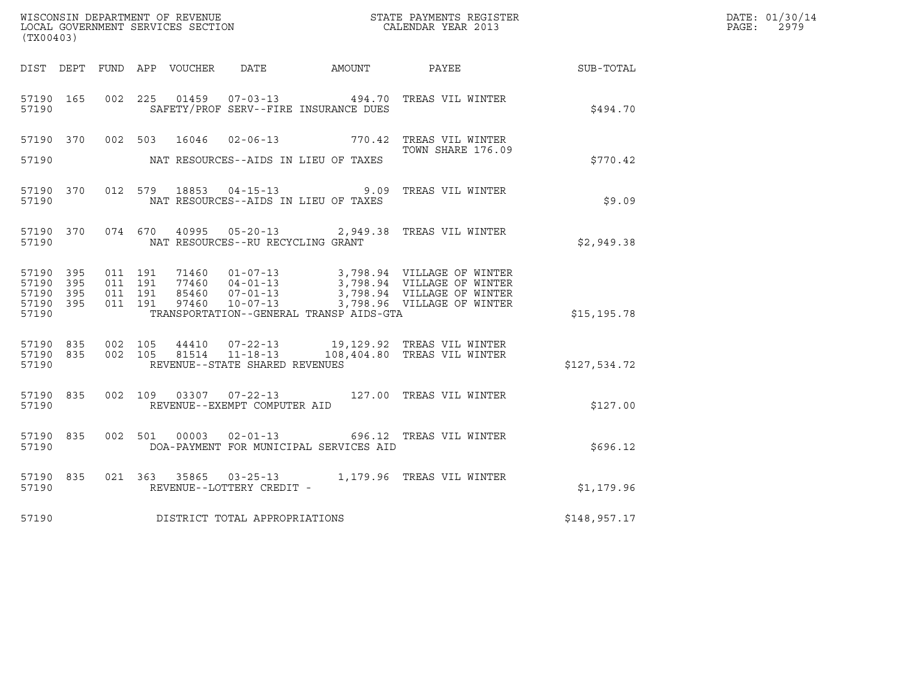| WISCONSIN DEPARTMENT OF REVENUE<br>LOCAL GOVERNMENT SERVICES SECTION<br>CALENDAR YEAR 2013 |           |                               |         |                                      |                                   |                                         |                                                                                                                                                                                              |              | DATE: 01/30/14<br>$\mathtt{PAGE:}$<br>2979 |
|--------------------------------------------------------------------------------------------|-----------|-------------------------------|---------|--------------------------------------|-----------------------------------|-----------------------------------------|----------------------------------------------------------------------------------------------------------------------------------------------------------------------------------------------|--------------|--------------------------------------------|
| (TX00403)                                                                                  |           |                               |         |                                      |                                   |                                         |                                                                                                                                                                                              |              |                                            |
|                                                                                            |           |                               |         |                                      |                                   |                                         | DIST DEPT FUND APP VOUCHER DATE AMOUNT PAYEE SUB-TOTAL                                                                                                                                       |              |                                            |
| 57190 165<br>57190                                                                         |           |                               |         |                                      |                                   | SAFETY/PROF SERV--FIRE INSURANCE DUES   | 002 225 01459 07-03-13 494.70 TREAS VIL WINTER                                                                                                                                               | \$494.70     |                                            |
|                                                                                            |           |                               |         |                                      |                                   |                                         | 57190 370 002 503 16046 02-06-13 770.42 TREAS VIL WINTER<br>TOWN SHARE 176.09<br>TOWN SHARE 176.09                                                                                           |              |                                            |
| 57190                                                                                      |           |                               |         | NAT RESOURCES--AIDS IN LIEU OF TAXES |                                   |                                         |                                                                                                                                                                                              |              |                                            |
| 57190                                                                                      |           |                               |         |                                      |                                   | NAT RESOURCES--AIDS IN LIEU OF TAXES    | 57190 370 012 579 18853 04-15-13 9.09 TREAS VIL WINTER                                                                                                                                       | \$9.09       |                                            |
| 57190                                                                                      |           |                               |         |                                      | NAT RESOURCES--RU RECYCLING GRANT |                                         | 57190 370 074 670 40995 05-20-13 2,949.38 TREAS VIL WINTER                                                                                                                                   | \$2,949.38   |                                            |
| 57190 395<br>57190 395<br>57190 395<br>57190 395<br>57190                                  |           | 011 191<br>011 191<br>011 191 | 011 191 |                                      |                                   | TRANSPORTATION--GENERAL TRANSP AIDS-GTA | 71460  01-07-13  3,798.94  VILLAGE OF WINTER<br>77460  04-01-13  3,798.94  VILLAGE OF WINTER<br>85460  07-01-13  3,798.94  VILLAGE OF WINTER<br>97460  10-07-13  3,798.96  VILLAGE OF WINTER | \$15, 195.78 |                                            |
| 57190                                                                                      | 57190 835 | 57190 835 002 105             |         |                                      | REVENUE--STATE SHARED REVENUES    |                                         | 002 105 44410 07-22-13 19,129.92 TREAS VIL WINTER<br>002 105 81514 11-18-13 108,404.80 TREAS VIL WINTER                                                                                      | \$127,534.72 |                                            |
| 57190                                                                                      |           |                               |         |                                      | REVENUE--EXEMPT COMPUTER AID      |                                         | 57190 835 002 109 03307 07-22-13 127.00 TREAS VIL WINTER                                                                                                                                     | \$127.00     |                                            |
| 57190                                                                                      | 57190 835 |                               |         |                                      |                                   | DOA-PAYMENT FOR MUNICIPAL SERVICES AID  | 002 501 00003 02-01-13 696.12 TREAS VIL WINTER                                                                                                                                               | \$696.12     |                                            |
| 57190                                                                                      | 57190 835 |                               |         |                                      | REVENUE--LOTTERY CREDIT -         |                                         | 021 363 35865 03-25-13 1,179.96 TREAS VIL WINTER                                                                                                                                             | \$1,179.96   |                                            |
| 57190                                                                                      |           |                               |         |                                      | DISTRICT TOTAL APPROPRIATIONS     |                                         |                                                                                                                                                                                              | \$148,957.17 |                                            |